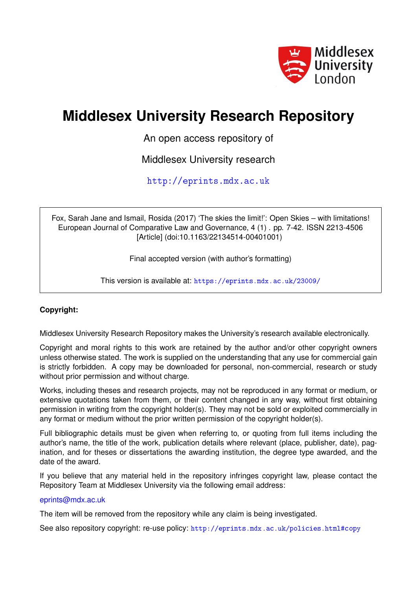

# **Middlesex University Research Repository**

An open access repository of

Middlesex University research

<http://eprints.mdx.ac.uk>

Fox, Sarah Jane and Ismail, Rosida (2017) 'The skies the limit!': Open Skies – with limitations! European Journal of Comparative Law and Governance, 4 (1) . pp. 7-42. ISSN 2213-4506 [Article] (doi:10.1163/22134514-00401001)

Final accepted version (with author's formatting)

This version is available at: <https://eprints.mdx.ac.uk/23009/>

#### **Copyright:**

Middlesex University Research Repository makes the University's research available electronically.

Copyright and moral rights to this work are retained by the author and/or other copyright owners unless otherwise stated. The work is supplied on the understanding that any use for commercial gain is strictly forbidden. A copy may be downloaded for personal, non-commercial, research or study without prior permission and without charge.

Works, including theses and research projects, may not be reproduced in any format or medium, or extensive quotations taken from them, or their content changed in any way, without first obtaining permission in writing from the copyright holder(s). They may not be sold or exploited commercially in any format or medium without the prior written permission of the copyright holder(s).

Full bibliographic details must be given when referring to, or quoting from full items including the author's name, the title of the work, publication details where relevant (place, publisher, date), pagination, and for theses or dissertations the awarding institution, the degree type awarded, and the date of the award.

If you believe that any material held in the repository infringes copyright law, please contact the Repository Team at Middlesex University via the following email address:

#### [eprints@mdx.ac.uk](mailto:eprints@mdx.ac.uk)

The item will be removed from the repository while any claim is being investigated.

See also repository copyright: re-use policy: <http://eprints.mdx.ac.uk/policies.html#copy>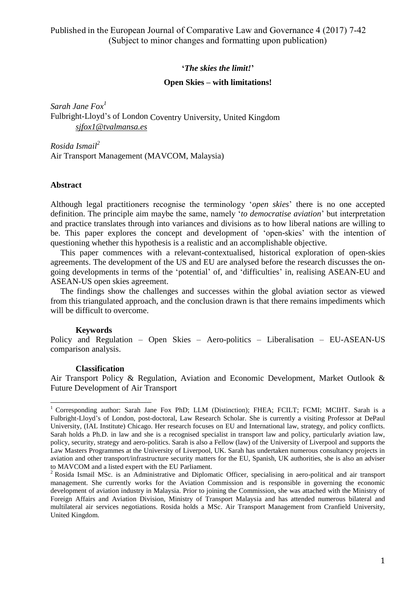#### **'***The skies the limit!***'**

#### **Open Skies – with limitations!**

*Sarah Jane Fox<sup>1</sup>* Fulbright-Lloyd's of London Coventry University, United Kingdom *[sjfox1@tvalmansa.es](mailto:sjfox1@tvalmansa.es)*

*Rosida Ismail<sup>2</sup>* Air Transport Management (MAVCOM, Malaysia)

#### **Abstract**

Although legal practitioners recognise the terminology '*open skies*' there is no one accepted definition. The principle aim maybe the same, namely '*to democratise aviation*' but interpretation and practice translates through into variances and divisions as to how liberal nations are willing to be. This paper explores the concept and development of 'open-skies' with the intention of questioning whether this hypothesis is a realistic and an accomplishable objective.

This paper commences with a relevant-contextualised, historical exploration of open-skies agreements. The development of the US and EU are analysed before the research discusses the ongoing developments in terms of the 'potential' of, and 'difficulties' in, realising ASEAN-EU and ASEAN-US open skies agreement.

The findings show the challenges and successes within the global aviation sector as viewed from this triangulated approach, and the conclusion drawn is that there remains impediments which will be difficult to overcome.

#### **Keywords**

Policy and Regulation – Open Skies – Aero-politics – Liberalisation – EU-ASEAN-US comparison analysis.

#### **Classification**

 $\overline{a}$ 

Air Transport Policy & Regulation, Aviation and Economic Development, Market Outlook & Future Development of Air Transport

<sup>&</sup>lt;sup>1</sup> Corresponding author: Sarah Jane Fox PhD; LLM (Distinction); FHEA; FCILT; FCMI; MCIHT. Sarah is a Fulbright-Lloyd's of London, post-doctoral, Law Research Scholar. She is currently a visiting Professor at DePaul University, (IAL Institute) Chicago. Her research focuses on EU and International law, strategy, and policy conflicts. Sarah holds a Ph.D. in law and she is a recognised specialist in transport law and policy, particularly aviation law, policy, security, strategy and aero-politics. Sarah is also a Fellow (law) of the University of Liverpool and supports the Law Masters Programmes at the University of Liverpool, UK. Sarah has undertaken numerous consultancy projects in aviation and other transport/infrastructure security matters for the EU, Spanish, UK authorities, she is also an adviser to MAVCOM and a listed expert with the EU Parliament.

<sup>&</sup>lt;sup>2</sup> Rosida Ismail MSc. is an Administrative and Diplomatic Officer, specialising in aero-political and air transport management. She currently works for the Aviation Commission and is responsible in governing the economic development of aviation industry in Malaysia. Prior to joining the Commission, she was attached with the Ministry of Foreign Affairs and Aviation Division, Ministry of Transport Malaysia and has attended numerous bilateral and multilateral air services negotiations. Rosida holds a MSc. Air Transport Management from Cranfield University, United Kingdom.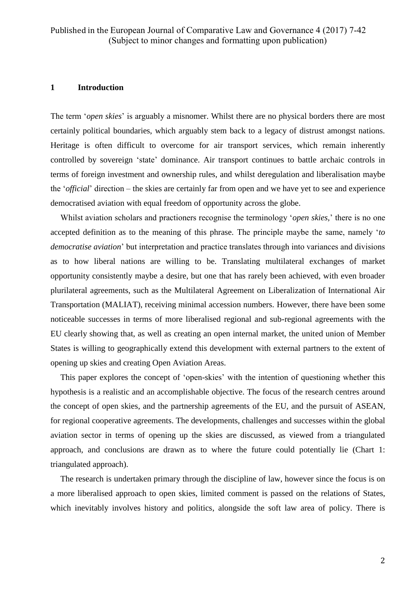#### **1 Introduction**

The term '*open skies*' is arguably a misnomer. Whilst there are no physical borders there are most certainly political boundaries, which arguably stem back to a legacy of distrust amongst nations. Heritage is often difficult to overcome for air transport services, which remain inherently controlled by sovereign 'state' dominance. Air transport continues to battle archaic controls in terms of foreign investment and ownership rules, and whilst deregulation and liberalisation maybe the '*official*' direction – the skies are certainly far from open and we have yet to see and experience democratised aviation with equal freedom of opportunity across the globe.

Whilst aviation scholars and practioners recognise the terminology '*open skies,*' there is no one accepted definition as to the meaning of this phrase. The principle maybe the same, namely '*to democratise aviation*' but interpretation and practice translates through into variances and divisions as to how liberal nations are willing to be. Translating multilateral exchanges of market opportunity consistently maybe a desire, but one that has rarely been achieved, with even broader plurilateral agreements, such as the Multilateral Agreement on Liberalization of International Air Transportation (MALIAT), receiving minimal accession numbers. However, there have been some noticeable successes in terms of more liberalised regional and sub-regional agreements with the EU clearly showing that, as well as creating an open internal market, the united union of Member States is willing to geographically extend this development with external partners to the extent of opening up skies and creating Open Aviation Areas.

This paper explores the concept of 'open-skies' with the intention of questioning whether this hypothesis is a realistic and an accomplishable objective. The focus of the research centres around the concept of open skies, and the partnership agreements of the EU, and the pursuit of ASEAN, for regional cooperative agreements. The developments, challenges and successes within the global aviation sector in terms of opening up the skies are discussed, as viewed from a triangulated approach, and conclusions are drawn as to where the future could potentially lie (Chart 1: triangulated approach).

The research is undertaken primary through the discipline of law, however since the focus is on a more liberalised approach to open skies, limited comment is passed on the relations of States, which inevitably involves history and politics, alongside the soft law area of policy. There is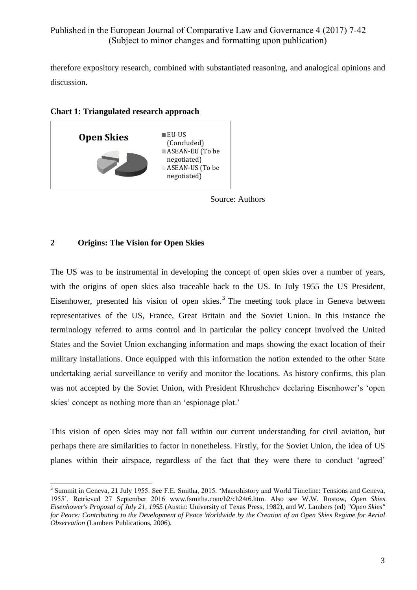therefore expository research, combined with substantiated reasoning, and analogical opinions and discussion.





Source: Authors

#### **2 Origins: The Vision for Open Skies**

 $\overline{a}$ 

The US was to be instrumental in developing the concept of open skies over a number of years, with the origins of open skies also traceable back to the US. In July 1955 the US President, Eisenhower, presented his vision of open skies. $3$  The meeting took place in Geneva between representatives of the US, France, Great Britain and the Soviet Union. In this instance the terminology referred to arms control and in particular the policy concept involved the United States and the Soviet Union exchanging information and maps showing the exact location of their military installations. Once equipped with this information the notion extended to the other State undertaking aerial surveillance to verify and monitor the locations. As history confirms, this plan was not accepted by the Soviet Union, with President Khrushchev declaring Eisenhower's 'open skies' concept as nothing more than an 'espionage plot.'

This vision of open skies may not fall within our current understanding for civil aviation, but perhaps there are similarities to factor in nonetheless. Firstly, for the Soviet Union, the idea of US planes within their airspace, regardless of the fact that they were there to conduct 'agreed'

<sup>&</sup>lt;sup>3</sup> Summit in Geneva, 21 July 1955. See F.E. Smitha, 2015. 'Macrohistory and World Timeline: Tensions and Geneva, 1955'. Retrieved 27 September 2016 www.fsmitha.com/h2/ch24t6.htm. Also see W.W. Rostow, *Open Skies Eisenhower's Proposal of July 21, 1955* (Austin: University of Texas Press, 1982), and W. Lambers (ed) *"Open Skies" for Peace: Contributing to the Development of Peace Worldwide by the Creation of an Open Skies Regime for Aerial Observation* (Lambers Publications, 2006).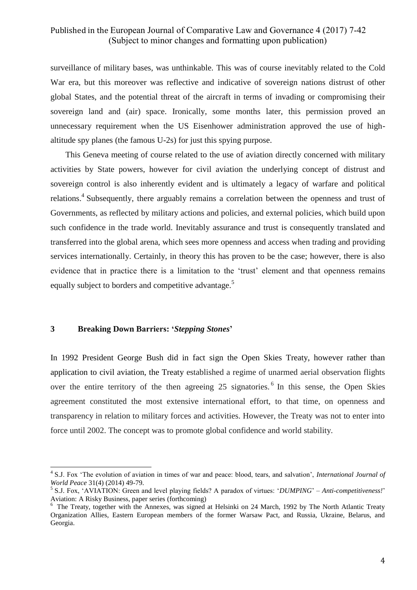surveillance of military bases, was unthinkable. This was of course inevitably related to the Cold War era, but this moreover was reflective and indicative of sovereign nations distrust of other global States, and the potential threat of the aircraft in terms of invading or compromising their sovereign land and (air) space. Ironically, some months later, this permission proved an unnecessary requirement when the US Eisenhower administration approved the use of highaltitude spy planes (the famous U-2s) for just this spying purpose.

This Geneva meeting of course related to the use of aviation directly concerned with military activities by State powers, however for civil aviation the underlying concept of distrust and sovereign control is also inherently evident and is ultimately a legacy of warfare and political relations.<sup>4</sup> Subsequently, there arguably remains a correlation between the openness and trust of Governments, as reflected by military actions and policies, and external policies, which build upon such confidence in the trade world. Inevitably assurance and trust is consequently translated and transferred into the global arena, which sees more openness and access when trading and providing services internationally. Certainly, in theory this has proven to be the case; however, there is also evidence that in practice there is a limitation to the 'trust' element and that openness remains equally subject to borders and competitive advantage.<sup>5</sup>

#### **3 Breaking Down Barriers: '***Stepping Stones***'**

In 1992 President George Bush did in fact sign the Open Skies Treaty, however rather than application to civil aviation, the Treaty established a regime of unarmed aerial observation flights over the entire territory of the then agreeing 25 signatories.<sup>6</sup> In this sense, the Open Skies agreement constituted the most extensive international effort, to that time, on openness and transparency in relation to military forces and activities. However, the Treaty was not to enter into force until 2002. The concept was to promote global confidence and world stability.

 4 S.J. Fox 'The evolution of aviation in times of war and peace: blood, tears, and salvation', *International Journal of World Peace* 31(4) (2014) 49-79.

<sup>5</sup> S.J. Fox, 'AVIATION: Green and level playing fields? A paradox of virtues: '*DUMPING*' – *Anti-competitiveness!*' Aviation: A Risky Business, paper series (forthcoming)

<sup>&</sup>lt;sup>6</sup> The Treaty, together with the Annexes, was signed at Helsinki on 24 March, 1992 by The North Atlantic Treaty Organization Allies, Eastern European members of the former Warsaw Pact, and Russia, Ukraine, Belarus, and Georgia.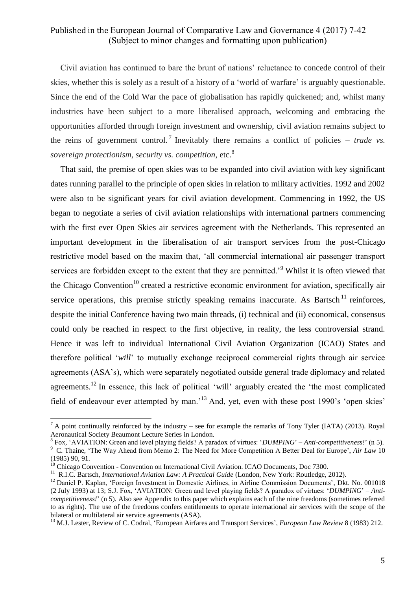Civil aviation has continued to bare the brunt of nations' reluctance to concede control of their skies, whether this is solely as a result of a history of a 'world of warfare' is arguably questionable. Since the end of the Cold War the pace of globalisation has rapidly quickened; and, whilst many industries have been subject to a more liberalised approach, welcoming and embracing the opportunities afforded through foreign investment and ownership, civil aviation remains subject to the reins of government control.<sup>7</sup> Inevitably there remains a conflict of policies  $-$  *trade vs. sovereign protectionism, security vs. competition*, etc.<sup>8</sup>

That said, the premise of open skies was to be expanded into civil aviation with key significant dates running parallel to the principle of open skies in relation to military activities. 1992 and 2002 were also to be significant years for civil aviation development. Commencing in 1992, the US began to negotiate a series of civil aviation relationships with international partners commencing with the first ever Open Skies air services agreement with the Netherlands. This represented an important development in the liberalisation of air transport services from the post-Chicago restrictive model based on the maxim that, 'all commercial international air passenger transport services are forbidden except to the extent that they are permitted.<sup>'9</sup> Whilst it is often viewed that the Chicago Convention<sup>10</sup> created a restrictive economic environment for aviation, specifically air service operations, this premise strictly speaking remains inaccurate. As Bartsch<sup>11</sup> reinforces, despite the initial Conference having two main threads, (i) technical and (ii) economical, consensus could only be reached in respect to the first objective, in reality, the less controversial strand. Hence it was left to individual International Civil Aviation Organization (ICAO) States and therefore political '*will*' to mutually exchange reciprocal commercial rights through air service agreements (ASA's), which were separately negotiated outside general trade diplomacy and related agreements.<sup>12</sup> In essence, this lack of political 'will' arguably created the 'the most complicated field of endeavour ever attempted by man.'<sup>13</sup> And, yet, even with these post 1990's 'open skies'

 $^7$  A point continually reinforced by the industry – see for example the remarks of Tony Tyler (IATA) (2013). Royal Aeronautical Society Beaumont Lecture Series in London.

<sup>8</sup> Fox, 'AVIATION: Green and level playing fields? A paradox of virtues: '*DUMPING*' – *Anti-competitiveness!*' (n 5). 9 C. Thaine, 'The Way Ahead from Memo 2: The Need for More Competition A Better Deal for Europe', *Air Law* 10 (1985) 90, 91.

 $10^{\text{10}}$  Chicago Convention - Convention on International Civil Aviation. ICAO Documents, Doc 7300.

<sup>&</sup>lt;sup>11</sup> R.I.C. Bartsch, *International Aviation Law: A Practical Guide* (London, New York: Routledge, 2012).

<sup>&</sup>lt;sup>12</sup> Daniel P. Kaplan, 'Foreign Investment in Domestic Airlines, in Airline Commission Documents', Dkt. No. 001018 (2 July 1993) at 13; S.J. Fox, 'AVIATION: Green and level playing fields? A paradox of virtues: '*DUMPING*' – *Anticompetitiveness!*' (n 5). Also see Appendix to this paper which explains each of the nine freedoms (sometimes referred to as rights). The use of the freedoms confers entitlements to operate international air services with the scope of the bilateral or multilateral air service agreements (ASA).

<sup>&</sup>lt;sup>13</sup> M.J. Lester, Review of C. Codral, 'European Airfares and Transport Services', *European Law Review* 8 (1983) 212.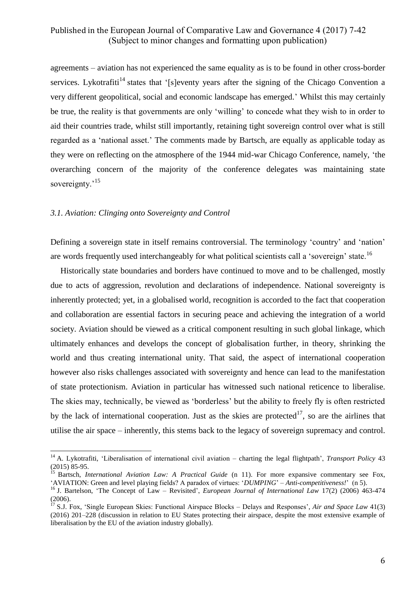agreements – aviation has not experienced the same equality as is to be found in other cross-border services. Lykotrafiti<sup>14</sup> states that '[s]eventy years after the signing of the Chicago Convention a very different geopolitical, social and economic landscape has emerged.' Whilst this may certainly be true, the reality is that governments are only 'willing' to concede what they wish to in order to aid their countries trade, whilst still importantly, retaining tight sovereign control over what is still regarded as a 'national asset.' The comments made by Bartsch, are equally as applicable today as they were on reflecting on the atmosphere of the 1944 mid-war Chicago Conference, namely, 'the overarching concern of the majority of the conference delegates was maintaining state sovereignty.<sup>15</sup>

#### *3.1. Aviation: Clinging onto Sovereignty and Control*

 $\overline{a}$ 

Defining a sovereign state in itself remains controversial. The terminology 'country' and 'nation' are words frequently used interchangeably for what political scientists call a 'sovereign' state.<sup>16</sup>

Historically state boundaries and borders have continued to move and to be challenged, mostly due to acts of aggression, revolution and declarations of independence. National sovereignty is inherently protected; yet, in a globalised world, recognition is accorded to the fact that cooperation and collaboration are essential factors in securing peace and achieving the integration of a world society. Aviation should be viewed as a critical component resulting in such global linkage, which ultimately enhances and develops the concept of globalisation further, in theory, shrinking the world and thus creating international unity. That said, the aspect of international cooperation however also risks challenges associated with sovereignty and hence can lead to the manifestation of state protectionism. Aviation in particular has witnessed such national reticence to liberalise. The skies may, technically, be viewed as 'borderless' but the ability to freely fly is often restricted by the lack of international cooperation. Just as the skies are protected<sup>17</sup>, so are the airlines that utilise the air space – inherently, this stems back to the legacy of sovereign supremacy and control.

<sup>&</sup>lt;sup>14</sup> A. Lykotrafiti, 'Liberalisation of international civil aviation – charting the legal flightpath', *Transport Policy* 43 (2015) 85-95.

<sup>&</sup>lt;sup>15</sup> Bartsch, *International Aviation Law: A Practical Guide* (n 11). For more expansive commentary see Fox, 'AVIATION: Green and level playing fields? A paradox of virtues: '*DUMPING*' – *Anti-competitiveness!*' (n 5).

<sup>16</sup> J. Bartelson, 'The Concept of Law – Revisited', *European Journal of International Law* 17(2) (2006) 463-474 (2006).

<sup>17</sup> S.J. Fox, 'Single European Skies: Functional Airspace Blocks – Delays and Responses', *Air and Space Law* 41(3) (2016) 201–228 (discussion in relation to EU States protecting their airspace, despite the most extensive example of liberalisation by the EU of the aviation industry globally).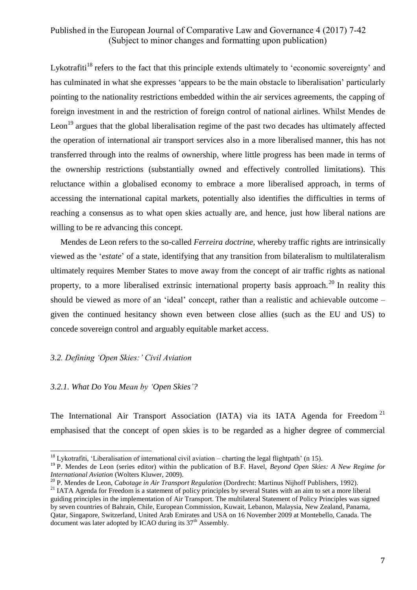Lykotrafiti<sup>18</sup> refers to the fact that this principle extends ultimately to 'economic sovereignty' and has culminated in what she expresses 'appears to be the main obstacle to liberalisation' particularly pointing to the nationality restrictions embedded within the air services agreements, the capping of foreign investment in and the restriction of foreign control of national airlines. Whilst Mendes de Leon<sup>19</sup> argues that the global liberalisation regime of the past two decades has ultimately affected the operation of international air transport services also in a more liberalised manner, this has not transferred through into the realms of ownership, where little progress has been made in terms of the ownership restrictions (substantially owned and effectively controlled limitations). This reluctance within a globalised economy to embrace a more liberalised approach, in terms of accessing the international capital markets, potentially also identifies the difficulties in terms of reaching a consensus as to what open skies actually are, and hence, just how liberal nations are willing to be re advancing this concept.

Mendes de Leon refers to the so-called *Ferreira doctrine*, whereby traffic rights are intrinsically viewed as the '*estate*' of a state, identifying that any transition from bilateralism to multilateralism ultimately requires Member States to move away from the concept of air traffic rights as national property, to a more liberalised extrinsic international property basis approach.<sup>20</sup> In reality this should be viewed as more of an 'ideal' concept, rather than a realistic and achievable outcome – given the continued hesitancy shown even between close allies (such as the EU and US) to concede sovereign control and arguably equitable market access.

#### *3.2. Defining 'Open Skies:' Civil Aviation*

#### *3.2.1. What Do You Mean by 'Open Skies'?*

 $\overline{a}$ 

The International Air Transport Association (IATA) via its IATA Agenda for Freedom<sup>21</sup> emphasised that the concept of open skies is to be regarded as a higher degree of commercial

<sup>&</sup>lt;sup>18</sup> Lykotrafiti, 'Liberalisation of international civil aviation – charting the legal flightpath' (n 15).

<sup>19</sup> P. Mendes de Leon (series editor) within the publication of B.F. Havel, *Beyond Open Skies: A New Regime for International Aviation* (Wolters Kluwer, 2009).

<sup>20</sup> P. Mendes de Leon, *Cabotage in Air Transport Regulation* (Dordrecht: Martinus Nijhoff Publishers, 1992).

<sup>&</sup>lt;sup>21</sup> IATA Agenda for Freedom is a statement of policy principles by several States with an aim to set a more liberal guiding principles in the implementation of Air Transport. The multilateral Statement of Policy Principles was signed by seven countries of Bahrain, Chile, European Commission, Kuwait, Lebanon, Malaysia, New Zealand, Panama, Qatar, Singapore, Switzerland, United Arab Emirates and USA on 16 November 2009 at Montebello, Canada. The document was later adopted by ICAO during its 37<sup>th</sup> Assembly.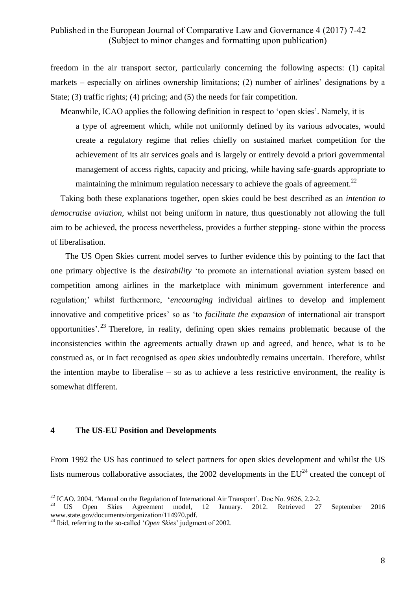freedom in the air transport sector, particularly concerning the following aspects: (1) capital markets – especially on airlines ownership limitations; (2) number of airlines' designations by a State; (3) traffic rights; (4) pricing; and (5) the needs for fair competition.

Meanwhile, ICAO applies the following definition in respect to 'open skies'. Namely, it is

a type of agreement which, while not uniformly defined by its various advocates, would create a regulatory regime that relies chiefly on sustained market competition for the achievement of its air services goals and is largely or entirely devoid a priori governmental management of access rights, capacity and pricing, while having safe-guards appropriate to maintaining the minimum regulation necessary to achieve the goals of agreement.<sup>22</sup>

Taking both these explanations together, open skies could be best described as an *intention to democratise aviation,* whilst not being uniform in nature, thus questionably not allowing the full aim to be achieved, the process nevertheless, provides a further stepping- stone within the process of liberalisation.

The US Open Skies current model serves to further evidence this by pointing to the fact that one primary objective is the *desirability* 'to promote an international aviation system based on competition among airlines in the marketplace with minimum government interference and regulation;' whilst furthermore, '*encouraging* individual airlines to develop and implement innovative and competitive prices' so as 'to *facilitate the expansion* of international air transport opportunities'.<sup>23</sup> Therefore, in reality, defining open skies remains problematic because of the inconsistencies within the agreements actually drawn up and agreed, and hence, what is to be construed as, or in fact recognised as *open skies* undoubtedly remains uncertain. Therefore, whilst the intention maybe to liberalise – so as to achieve a less restrictive environment, the reality is somewhat different.

#### **4 The US-EU Position and Developments**

 $\overline{a}$ 

From 1992 the US has continued to select partners for open skies development and whilst the US lists numerous collaborative associates, the 2002 developments in the  $EU^{24}$  created the concept of

<sup>&</sup>lt;sup>22</sup> ICAO. 2004. 'Manual on the Regulation of International Air Transport'. Doc No. 9626, 2.2-2.<br><sup>23</sup> US Open Skies Agreement model, 12 January. 2012. Retrieved 27 <sup>23</sup> US Open Skies Agreement model, 12 January. 2012. Retrieved 27 September 2016 www.state.gov/documents/organization/114970.pdf.

<sup>24</sup> Ibid, referring to the so-called '*Open Skies*' judgment of 2002.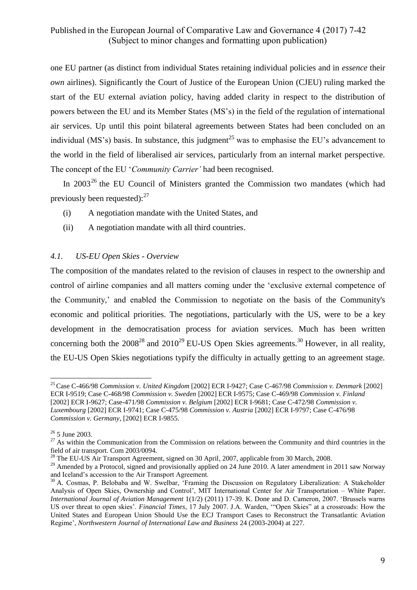one EU partner (as distinct from individual States retaining individual policies and in *essence* their *own* airlines). Significantly the Court of Justice of the European Union (CJEU) ruling marked the start of the EU external aviation policy, having added clarity in respect to the distribution of powers between the EU and its Member States (MS's) in the field of the regulation of international air services. Up until this point bilateral agreements between States had been concluded on an individual (MS's) basis. In substance, this judgment<sup>25</sup> was to emphasise the EU's advancement to the world in the field of liberalised air services, particularly from an internal market perspective. The concept of the EU '*Community Carrier'* had been recognised.

In  $2003^{26}$  the EU Council of Ministers granted the Commission two mandates (which had previously been requested): $27$ 

- (i) A negotiation mandate with the United States, and
- (ii) A negotiation mandate with all third countries.

#### *4.1. US-EU Open Skies - Overview*

The composition of the mandates related to the revision of clauses in respect to the ownership and control of airline companies and all matters coming under the 'exclusive external competence of the Community,' and enabled the Commission to negotiate on the basis of the Community's economic and political priorities. The negotiations, particularly with the US, were to be a key development in the democratisation process for aviation services. Much has been written concerning both the  $2008^{28}$  and  $2010^{29}$  EU-US Open Skies agreements.<sup>30</sup> However, in all reality, the EU-US Open Skies negotiations typify the difficulty in actually getting to an agreement stage.

 $\overline{a}$ <sup>25</sup> Case C-466/98 *Commission v. United Kingdom* [2002] ECR I-9427; Case C-467/98 *Commission v. Denmark* [2002] ECR I-9519; Case C-468/98 *Commission v. Sweden* [2002] ECR I-9575; Case C-469/98 *Commission v. Finland*  [2002] ECR I-9627; Case-471/98 *Commission v. Belgium* [2002] ECR I-9681; Case C-472/98 *Commission v. Luxembourg* [2002] ECR I-9741; Case C-475/98 *Commission v. Austria* [2002] ECR I-9797; Case C-476/98 *Commission v. Germany*, [2002] ECR I-9855.

 $26$  5 June 2003.

 $27$  As within the Communication from the Commission on relations between the Community and third countries in the field of air transport. Com 2003/0094.

<sup>&</sup>lt;sup>28</sup> The EU-US Air Transport Agreement, signed on 30 April, 2007, applicable from 30 March, 2008.

<sup>&</sup>lt;sup>29</sup> Amended by a Protocol, signed and provisionally applied on 24 June 2010. A later amendment in 2011 saw Norway and Iceland's accession to the Air Transport Agreement.

<sup>&</sup>lt;sup>30</sup> A. Cosmas, P. Belobaba and W. Swelbar, 'Framing the Discussion on Regulatory Liberalization: A Stakeholder Analysis of Open Skies, Ownership and Control', MIT International Center for Air Transportation – White Paper. *International Journal of Aviation Management* 1(1/2) (2011) 17-39. K. Done and D. Cameron, 2007. 'Brussels warns US over threat to open skies'. *Financial Times*, 17 July 2007. J.A. Warden, '"Open Skies" at a crossroads: How the United States and European Union Should Use the ECJ Transport Cases to Reconstruct the Transatlantic Aviation Regime', *Northwestern Journal of International Law and Business* 24 (2003-2004) at 227.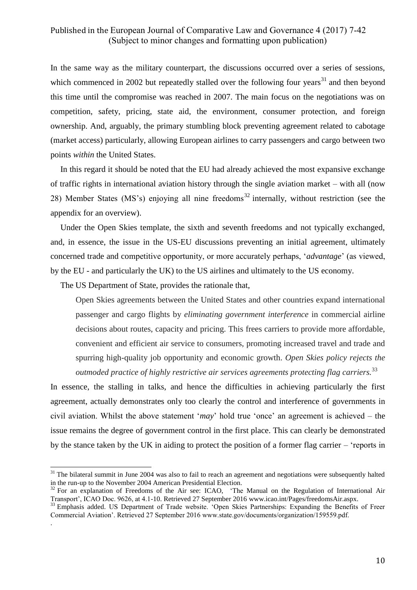In the same way as the military counterpart, the discussions occurred over a series of sessions, which commenced in 2002 but repeatedly stalled over the following four years<sup>31</sup> and then beyond this time until the compromise was reached in 2007. The main focus on the negotiations was on competition, safety, pricing, state aid, the environment, consumer protection, and foreign ownership. And, arguably, the primary stumbling block preventing agreement related to cabotage (market access) particularly, allowing European airlines to carry passengers and cargo between two points *within* the United States.

In this regard it should be noted that the EU had already achieved the most expansive exchange of traffic rights in international aviation history through the single aviation market – with all (now 28) Member States (MS's) enjoying all nine freedoms<sup>32</sup> internally, without restriction (see the appendix for an overview).

Under the Open Skies template, the sixth and seventh freedoms and not typically exchanged, and, in essence, the issue in the US-EU discussions preventing an initial agreement, ultimately concerned trade and competitive opportunity, or more accurately perhaps, '*advantage*' (as viewed, by the EU - and particularly the UK) to the US airlines and ultimately to the US economy.

The US Department of State, provides the rationale that,

 $\overline{a}$ 

.

Open Skies agreements between the United States and other countries expand international passenger and cargo flights by *eliminating government interference* in commercial airline decisions about routes, capacity and pricing. This frees carriers to provide more affordable, convenient and efficient air service to consumers, promoting increased travel and trade and spurring high-quality job opportunity and economic growth. *Open Skies policy rejects the outmoded practice of highly restrictive air services agreements protecting flag carriers.*<sup>33</sup>

In essence, the stalling in talks, and hence the difficulties in achieving particularly the first agreement, actually demonstrates only too clearly the control and interference of governments in civil aviation. Whilst the above statement '*may*' hold true 'once' an agreement is achieved – the issue remains the degree of government control in the first place. This can clearly be demonstrated by the stance taken by the UK in aiding to protect the position of a former flag carrier – 'reports in

 $31$  The bilateral summit in June 2004 was also to fail to reach an agreement and negotiations were subsequently halted in the run-up to the November 2004 American Presidential Election.

<sup>&</sup>lt;sup>32</sup> For an explanation of Freedoms of the Air see: ICAO, 'The Manual on the Regulation of International Air Transport', ICAO Doc. 9626, at 4.1-10. Retrieved 27 September 2016 www.icao.int/Pages/freedomsAir.aspx.

<sup>&</sup>lt;sup>33</sup> Emphasis added. US Department of Trade website. 'Open Skies Partnerships: Expanding the Benefits of Freer Commercial Aviation'. Retrieved 27 September 2016 www.state.gov/documents/organization/159559.pdf.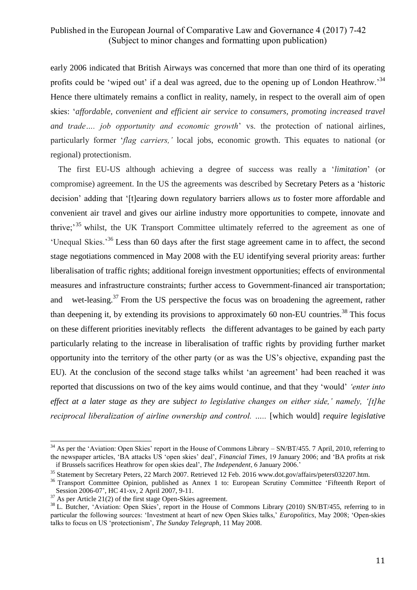early 2006 indicated that British Airways was concerned that more than one third of its operating profits could be 'wiped out' if a deal was agreed, due to the opening up of London Heathrow.<sup>34</sup> Hence there ultimately remains a conflict in reality, namely, in respect to the overall aim of open skies: '*affordable, convenient and efficient air service to consumers, promoting increased travel and trade…. job opportunity and economic growth*' vs. the protection of national airlines, particularly former '*flag carriers,'* local jobs, economic growth. This equates to national (or regional) protectionism.

The first EU-US although achieving a degree of success was really a '*limitation*' (or compromise) agreement. In the US the agreements was described by Secretary Peters as a 'historic decision' adding that '[t]earing down regulatory barriers allows *us* to foster more affordable and convenient air travel and gives our airline industry more opportunities to compete, innovate and thrive;<sup>35</sup> whilst, the UK Transport Committee ultimately referred to the agreement as one of 'Unequal Skies.'<sup>36</sup> Less than 60 days after the first stage agreement came in to affect, the second stage negotiations commenced in May 2008 with the EU identifying several priority areas: further liberalisation of traffic rights; additional foreign investment opportunities; effects of environmental measures and infrastructure constraints; further access to Government-financed air transportation; and wet-leasing.<sup>37</sup> From the US perspective the focus was on broadening the agreement, rather than deepening it, by extending its provisions to approximately 60 non-EU countries.<sup>38</sup> This focus on these different priorities inevitably reflects the different advantages to be gained by each party particularly relating to the increase in liberalisation of traffic rights by providing further market opportunity into the territory of the other party (or as was the US's objective, expanding past the EU). At the conclusion of the second stage talks whilst 'an agreement' had been reached it was reported that discussions on two of the key aims would continue, and that they 'would' *'enter into effect at a later stage as they are subject to legislative changes on either side,' namely, '[t]he reciprocal liberalization of airline ownership and control. …..* [which would] *require legislative* 

 $34$  As per the 'Aviation: Open Skies' report in the House of Commons Library – SN/BT/455. 7 April, 2010, referring to the newspaper articles, 'BA attacks US 'open skies' deal', *Financial Times*, 19 January 2006; and 'BA profits at risk if Brussels sacrifices Heathrow for open skies deal', *The Independent*, 6 January 2006.'

<sup>&</sup>lt;sup>35</sup> Statement by Secretary Peters, 22 March 2007. Retrieved 12 Feb. 2016 www.dot.gov/affairs/peters032207.htm.

<sup>&</sup>lt;sup>36</sup> Transport Committee Opinion, published as Annex 1 to: European Scrutiny Committee 'Fifteenth Report of Session 2006-07', HC 41-xv, 2 April 2007, 9-11.

 $37$  As per Article 21(2) of the first stage Open-Skies agreement.

<sup>&</sup>lt;sup>38</sup> L. Butcher, 'Aviation: Open Skies', report in the House of Commons Library (2010) SN/BT/455, referring to in particular the following sources: 'Investment at heart of new Open Skies talks,' *Europolitics*, May 2008; 'Open-skies talks to focus on US 'protectionism', *The Sunday Telegraph*, 11 May 2008.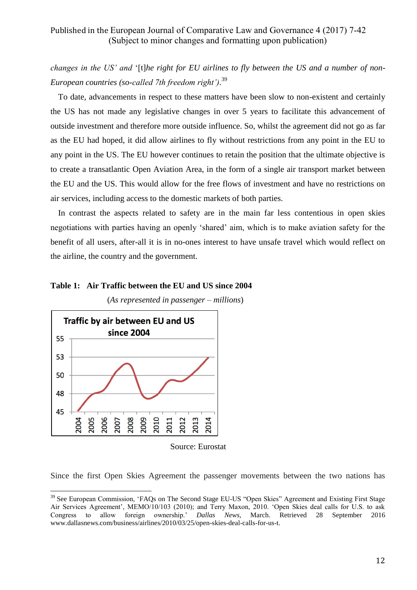## *changes in the US' and* '[t]*he right for EU airlines to fly between the US and a number of non-European countries (so-called 7th freedom right')*. 39

To date, advancements in respect to these matters have been slow to non-existent and certainly the US has not made any legislative changes in over 5 years to facilitate this advancement of outside investment and therefore more outside influence. So, whilst the agreement did not go as far as the EU had hoped, it did allow airlines to fly without restrictions from any point in the EU to any point in the US. The EU however continues to retain the position that the ultimate objective is to create a transatlantic Open Aviation Area, in the form of a single air transport market between the EU and the US. This would allow for the free flows of investment and have no restrictions on air services, including access to the domestic markets of both parties.

In contrast the aspects related to safety are in the main far less contentious in open skies negotiations with parties having an openly 'shared' aim, which is to make aviation safety for the benefit of all users, after-all it is in no-ones interest to have unsafe travel which would reflect on the airline, the country and the government.

#### **Table 1: Air Traffic between the EU and US since 2004**



 $\overline{a}$ 

(*As represented in passenger – millions*)

Source: Eurostat

Since the first Open Skies Agreement the passenger movements between the two nations has

<sup>&</sup>lt;sup>39</sup> See European Commission, 'FAQs on The Second Stage EU-US "Open Skies" Agreement and Existing First Stage Air Services Agreement', MEMO/10/103 (2010); and Terry Maxon, 2010. 'Open Skies deal calls for U.S. to ask Congress to allow foreign ownership.' *Dallas News*, March. Retrieved 28 September 2016 www.dallasnews.com/business/airlines/2010/03/25/open-skies-deal-calls-for-us-t.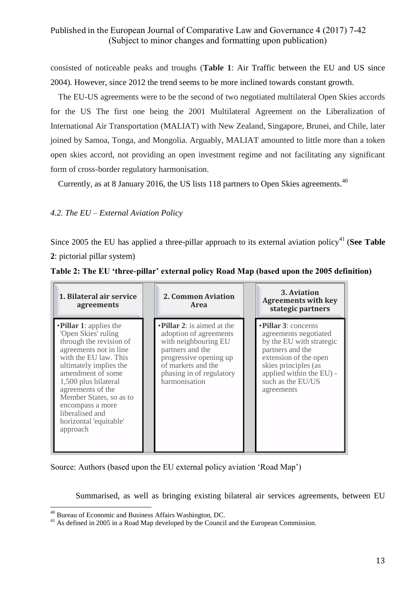consisted of noticeable peaks and troughs (**Table 1**: Air Traffic between the EU and US since 2004). However, since 2012 the trend seems to be more inclined towards constant growth.

The EU-US agreements were to be the second of two negotiated multilateral Open Skies accords for the US The first one being the 2001 Multilateral Agreement on the Liberalization of International Air Transportation (MALIAT) with New Zealand, Singapore, Brunei, and Chile, later joined by Samoa, Tonga, and Mongolia. Arguably, MALIAT amounted to little more than a token open skies accord, not providing an open investment regime and not facilitating any significant form of cross-border regulatory harmonisation.

Currently, as at 8 January 2016, the US lists 118 partners to Open Skies agreements.<sup>40</sup>

#### *4.2. The EU – External Aviation Policy*

Since 2005 the EU has applied a three-pillar approach to its external aviation policy<sup>41</sup> (**See Table 2**: pictorial pillar system)

| 1. Bilateral air service<br>agreements                                                                                                                                                                                                                                                                                           | 2. Common Aviation<br><b>Area</b>                                                                                                                                                              | 3. Aviation<br><b>Agreements with key</b><br>stategic partners                                                                                                                                                |
|----------------------------------------------------------------------------------------------------------------------------------------------------------------------------------------------------------------------------------------------------------------------------------------------------------------------------------|------------------------------------------------------------------------------------------------------------------------------------------------------------------------------------------------|---------------------------------------------------------------------------------------------------------------------------------------------------------------------------------------------------------------|
| • Pillar 1: applies the<br>'Open Skies' ruling<br>through the revision of<br>agreements not in line<br>with the EU law. This<br>ultimately implies the<br>amendment of some<br>1,500 plus bilateral<br>agreements of the<br>Member States, so as to<br>encompass a more<br>liberalised and<br>horizontal 'equitable'<br>approach | • Pillar 2: is aimed at the<br>adoption of agreements<br>with neighbouring EU<br>partners and the<br>progressive opening up<br>of markets and the<br>phasing in of regulatory<br>harmonisation | • Pillar 3: concerns<br>agreements negotiated<br>by the EU with strategic<br>partners and the<br>extension of the open<br>skies principles (as<br>applied within the EU) -<br>such as the EU/US<br>agreements |

**Table 2: The EU 'three-pillar' external policy Road Map (based upon the 2005 definition)**

Source: Authors (based upon the EU external policy aviation 'Road Map')

Summarised, as well as bringing existing bilateral air services agreements, between EU

<sup>&</sup>lt;sup>40</sup> Bureau of Economic and Business Affairs Washington, DC.

 $41$  As defined in 2005 in a Road Map developed by the Council and the European Commission.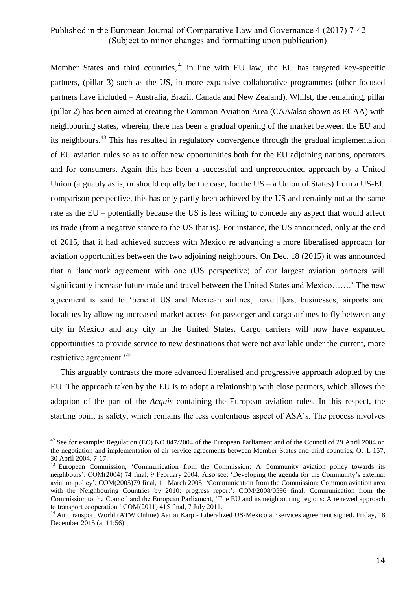Member States and third countries,  $42$  in line with EU law, the EU has targeted key-specific partners, (pillar 3) such as the US, in more expansive collaborative programmes (other focused partners have included – Australia, Brazil, Canada and New Zealand). Whilst, the remaining, pillar (pillar 2) has been aimed at creating the Common Aviation Area (CAA/also shown as ECAA) with neighbouring states, wherein, there has been a gradual opening of the market between the EU and its neighbours.<sup>43</sup> This has resulted in regulatory convergence through the gradual implementation of EU aviation rules so as to offer new opportunities both for the EU adjoining nations, operators and for consumers. Again this has been a successful and unprecedented approach by a United Union (arguably as is, or should equally be the case, for the  $US - a$  Union of States) from a US-EU comparison perspective, this has only partly been achieved by the US and certainly not at the same rate as the EU – potentially because the US is less willing to concede any aspect that would affect its trade (from a negative stance to the US that is). For instance, the US announced, only at the end of 2015, that it had achieved success with Mexico re advancing a more liberalised approach for aviation opportunities between the two adjoining neighbours. On Dec. 18 (2015) it was announced that a 'landmark agreement with one (US perspective) of our largest aviation partners will significantly increase future trade and travel between the United States and Mexico…….' The new agreement is said to 'benefit US and Mexican airlines, travel[l]ers, businesses, airports and localities by allowing increased market access for passenger and cargo airlines to fly between any city in Mexico and any city in the United States. Cargo carriers will now have expanded opportunities to provide service to new destinations that were not available under the current, more restrictive agreement.'<sup>44</sup>

This arguably contrasts the more advanced liberalised and progressive approach adopted by the EU. The approach taken by the EU is to adopt a relationship with close partners, which allows the adoption of the part of the *Acquis* containing the European aviation rules. In this respect, the starting point is safety, which remains the less contentious aspect of ASA's. The process involves

<sup>&</sup>lt;sup>42</sup> See for example: Regulation (EC) NO 847/2004 of the European Parliament and of the Council of 29 April 2004 on the negotiation and implementation of air service agreements between Member States and third countries, OJ L 157, 30 April 2004, 7-17.

<sup>&</sup>lt;sup>43</sup> European Commission, 'Communication from the Commission: A Community aviation policy towards its neighbours'. COM(2004) 74 final, 9 February 2004. Also see: 'Developing the agenda for the Community's external aviation policy'. COM(2005)79 final, 11 March 2005; 'Communication from the Commission: Common aviation area with the Neighbouring Countries by 2010: progress report'. COM/2008/0596 final; Communication from the Commission to the Council and the European Parliament, 'The EU and its neighbouring regions: A renewed approach to transport cooperation.' COM(2011) 415 final, 7 July 2011.

<sup>44</sup> Air Transport World (ATW Online) Aaron Karp - Liberalized US-Mexico air services agreement signed. Friday, 18 December 2015 (at 11:56).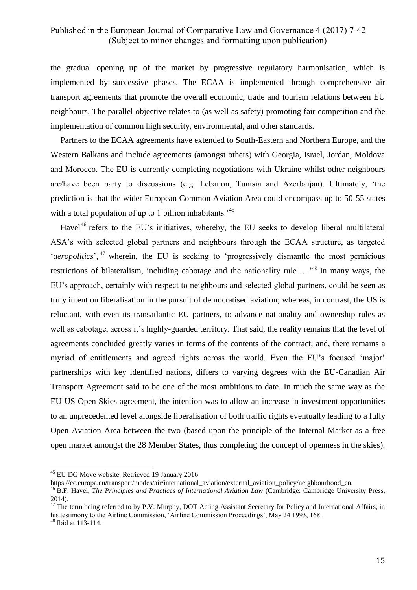the gradual opening up of the market by progressive regulatory harmonisation, which is implemented by successive phases. The ECAA is implemented through comprehensive air transport agreements that promote the overall economic, trade and tourism relations between EU neighbours. The parallel objective relates to (as well as safety) promoting fair competition and the implementation of common high security, environmental, and other standards.

Partners to the ECAA agreements have extended to South-Eastern and Northern Europe, and the Western Balkans and include agreements (amongst others) with Georgia, Israel, Jordan, Moldova and Morocco. The EU is currently completing negotiations with Ukraine whilst other neighbours are/have been party to discussions (e.g. Lebanon, Tunisia and Azerbaijan). Ultimately, 'the prediction is that the wider European Common Aviation Area could encompass up to 50-55 states with a total population of up to 1 billion inhabitants.<sup> $45$ </sup>

Havel<sup>46</sup> refers to the EU's initiatives, whereby, the EU seeks to develop liberal multilateral ASA's with selected global partners and neighbours through the ECAA structure, as targeted '*aeropolitics*',<sup>47</sup> wherein, the EU is seeking to 'progressively dismantle the most pernicious restrictions of bilateralism, including cabotage and the nationality rule…..<sup>48</sup> In many ways, the EU's approach, certainly with respect to neighbours and selected global partners, could be seen as truly intent on liberalisation in the pursuit of democratised aviation; whereas, in contrast, the US is reluctant, with even its transatlantic EU partners, to advance nationality and ownership rules as well as cabotage, across it's highly-guarded territory. That said, the reality remains that the level of agreements concluded greatly varies in terms of the contents of the contract; and, there remains a myriad of entitlements and agreed rights across the world. Even the EU's focused 'major' partnerships with key identified nations, differs to varying degrees with the EU-Canadian Air Transport Agreement said to be one of the most ambitious to date. In much the same way as the EU-US Open Skies agreement, the intention was to allow an increase in investment opportunities to an unprecedented level alongside liberalisation of both traffic rights eventually leading to a fully Open Aviation Area between the two (based upon the principle of the Internal Market as a free open market amongst the 28 Member States, thus completing the concept of openness in the skies).

<sup>&</sup>lt;sup>45</sup> EU DG Move website. Retrieved 19 January 2016

https://ec.europa.eu/transport/modes/air/international\_aviation/external\_aviation\_policy/neighbourhood\_en.

<sup>46</sup> B.F. Havel, *The Principles and Practices of International Aviation Law* (Cambridge: Cambridge University Press, 2014).

 $47$  The term being referred to by P.V. Murphy, DOT Acting Assistant Secretary for Policy and International Affairs, in his testimony to the Airline Commission, 'Airline Commission Proceedings', May 24 1993, 168.

<sup>48</sup> Ibid at 113-114.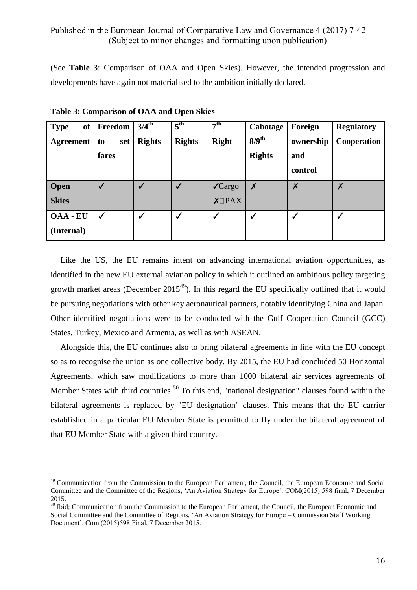(See **Table 3**: Comparison of OAA and Open Skies). However, the intended progression and developments have again not materialised to the ambition initially declared.

| <b>of</b><br><b>Type</b> | Freedom   | $3/4^{\text{th}}$ | 5 <sup>th</sup> | $\overline{7}$ th | Cabotage            | Foreign          | <b>Regulatory</b> |
|--------------------------|-----------|-------------------|-----------------|-------------------|---------------------|------------------|-------------------|
| <b>Agreement</b>         | set<br>to | <b>Rights</b>     | <b>Rights</b>   | <b>Right</b>      | $8/9$ <sup>th</sup> | ownership        | Cooperation       |
|                          | fares     |                   |                 |                   | <b>Rights</b>       | and              |                   |
|                          |           |                   |                 |                   |                     | control          |                   |
| Open                     |           | $\checkmark$      | $\sqrt{}$       | $\sqrt{C}$ argo   | $\boldsymbol{X}$    | $\boldsymbol{X}$ | $\boldsymbol{X}$  |
| <b>Skies</b>             |           |                   |                 | $X\square$ PAX    |                     |                  |                   |
| OAA - EU                 |           | ✔                 |                 |                   |                     | √                | √                 |
| (Internal)               |           |                   |                 |                   |                     |                  |                   |

**Table 3: Comparison of OAA and Open Skies**

Like the US, the EU remains intent on advancing international aviation opportunities, as identified in the new EU external aviation policy in which it outlined an ambitious policy targeting growth market areas (December  $2015^{49}$ ). In this regard the EU specifically outlined that it would be pursuing negotiations with other key aeronautical partners, notably identifying China and Japan. Other identified negotiations were to be conducted with the Gulf Cooperation Council (GCC) States, Turkey, Mexico and Armenia, as well as with ASEAN.

Alongside this, the EU continues also to bring bilateral agreements in line with the EU concept so as to recognise the union as one collective body. By 2015, the EU had concluded 50 Horizontal Agreements, which saw modifications to more than 1000 bilateral air services agreements of Member States with third countries.<sup>50</sup> To this end, "national designation" clauses found within the bilateral agreements is replaced by "EU designation" clauses. This means that the EU carrier established in a particular EU Member State is permitted to fly under the bilateral agreement of that EU Member State with a given third country.

<sup>&</sup>lt;sup>49</sup> Communication from the Commission to the European Parliament, the Council, the European Economic and Social Committee and the Committee of the Regions, 'An Aviation Strategy for Europe'. COM(2015) 598 final, 7 December 2015.

<sup>&</sup>lt;sup>50</sup> Ibid; Communication from the Commission to the European Parliament, the Council, the European Economic and Social Committee and the Committee of Regions, 'An Aviation Strategy for Europe – Commission Staff Working Document'. Com (2015)598 Final, 7 December 2015.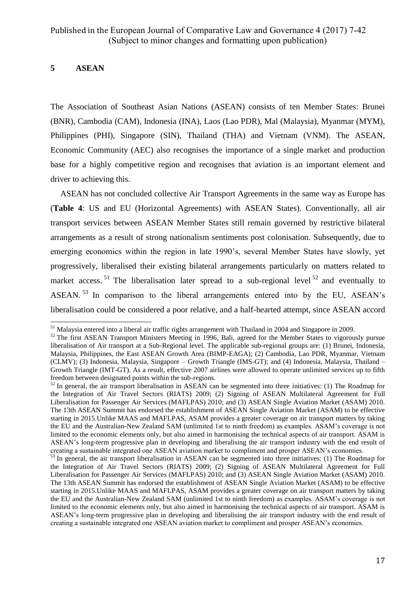## **5 ASEAN**

The Association of Southeast Asian Nations (ASEAN) consists of ten Member States: Brunei (BNR), Cambodia (CAM), Indonesia (INA), Laos (Lao PDR), Mal (Malaysia), Myanmar (MYM), Philippines (PHI), Singapore (SIN), Thailand (THA) and Vietnam (VNM). The ASEAN, Economic Community (AEC) also recognises the importance of a single market and production base for a highly competitive region and recognises that aviation is an important element and driver to achieving this.

ASEAN has not concluded collective Air Transport Agreements in the same way as Europe has (**Table 4**: US and EU (Horizontal Agreements) with ASEAN States). Conventionally, all air transport services between ASEAN Member States still remain governed by restrictive bilateral arrangements as a result of strong nationalism sentiments post colonisation. Subsequently, due to emerging economics within the region in late 1990's, several Member States have slowly, yet progressively, liberalised their existing bilateral arrangements particularly on matters related to market access.<sup>51</sup> The liberalisation later spread to a sub-regional level  $52$  and eventually to ASEAN.<sup>53</sup> In comparison to the liberal arrangements entered into by the EU, ASEAN's liberalisation could be considered a poor relative, and a half-hearted attempt, since ASEAN accord

 $\overline{a}$ <sup>51</sup> Malaysia entered into a liberal air traffic rights arrangement with Thailand in 2004 and Singapore in 2009.

<sup>&</sup>lt;sup>52</sup> The first ASEAN Transport Ministers Meeting in 1996, Bali, agreed for the Member States to vigorously pursue liberalisation of Air transport at a Sub-Regional level. The applicable sub-regional groups are: (1) Brunei, Indonesia, Malaysia, Philippines, the East ASEAN Growth Area (BIMP-EAGA); (2) Cambodia, Lao PDR, Myanmar, Vietnam (CLMV); (3) Indonesia, Malaysia, Singapore – Growth Triangle (IMS-GT); and (4) Indonesia, Malaysia, Thailand – Growth Triangle (IMT-GT). As a result, effective 2007 airlines were allowed to operate unlimited services up to fifth freedom between designated points within the sub-regions.

<sup>&</sup>lt;sup>52</sup> In general, the air transport liberalisation in ASEAN can be segmented into three initiatives: (1) The Roadmap for the Integration of Air Travel Sectors (RIATS) 2009; (2) Signing of ASEAN Multilateral Agreement for Full Liberalisation for Passenger Air Services (MAFLPAS) 2010; and (3) ASEAN Single Aviation Market (ASAM) 2010. The 13th ASEAN Summit has endorsed the establishment of ASEAN Single Aviation Market (ASAM) to be effective starting in 2015.Unlike MAAS and MAFLPAS, ASAM provides a greater coverage on air transport matters by taking the EU and the Australian-New Zealand SAM (unlimited 1st to ninth freedom) as examples. ASAM's coverage is not limited to the economic elements only, but also aimed in harmonising the technical aspects of air transport. ASAM is ASEAN's long-term progressive plan in developing and liberalising the air transport industry with the end result of creating a sustainable integrated one ASEAN aviation market to compliment and prosper ASEAN's economies.

<sup>&</sup>lt;sup>53</sup> In general, the air transport liberalisation in ASEAN can be segmented into three initiatives: (1) The Roadmap for the Integration of Air Travel Sectors (RIATS) 2009; (2) Signing of ASEAN Multilateral Agreement for Full Liberalisation for Passenger Air Services (MAFLPAS) 2010; and (3) ASEAN Single Aviation Market (ASAM) 2010. The 13th ASEAN Summit has endorsed the establishment of ASEAN Single Aviation Market (ASAM) to be effective starting in 2015.Unlike MAAS and MAFLPAS, ASAM provides a greater coverage on air transport matters by taking the EU and the Australian-New Zealand SAM (unlimited 1st to ninth freedom) as examples. ASAM's coverage is not limited to the economic elements only, but also aimed in harmonising the technical aspects of air transport. ASAM is ASEAN's long-term progressive plan in developing and liberalising the air transport industry with the end result of creating a sustainable integrated one ASEAN aviation market to compliment and prosper ASEAN's economies.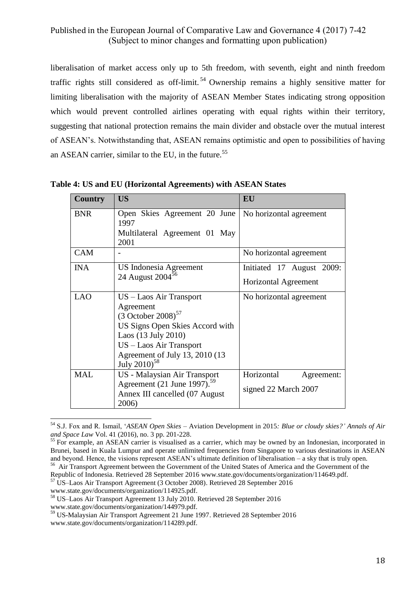liberalisation of market access only up to 5th freedom, with seventh, eight and ninth freedom traffic rights still considered as off-limit. <sup>54</sup> Ownership remains a highly sensitive matter for limiting liberalisation with the majority of ASEAN Member States indicating strong opposition which would prevent controlled airlines operating with equal rights within their territory, suggesting that national protection remains the main divider and obstacle over the mutual interest of ASEAN's. Notwithstanding that, ASEAN remains optimistic and open to possibilities of having an ASEAN carrier, similar to the EU, in the future.<sup>55</sup>

| <b>Country</b> | <b>US</b>                                                                                                                                                                                                                    | EU                                               |  |  |
|----------------|------------------------------------------------------------------------------------------------------------------------------------------------------------------------------------------------------------------------------|--------------------------------------------------|--|--|
| <b>BNR</b>     | Open Skies Agreement 20 June<br>1997                                                                                                                                                                                         | No horizontal agreement                          |  |  |
|                | Multilateral Agreement 01 May<br>2001                                                                                                                                                                                        |                                                  |  |  |
| <b>CAM</b>     |                                                                                                                                                                                                                              | No horizontal agreement                          |  |  |
| <b>INA</b>     | US Indonesia Agreement                                                                                                                                                                                                       | Initiated 17 August 2009:                        |  |  |
|                | 24 August 2004 <sup>56</sup>                                                                                                                                                                                                 | <b>Horizontal Agreement</b>                      |  |  |
| <b>LAO</b>     | US – Laos Air Transport<br>Agreement<br>$(3 \text{ October } 2008)^{57}$<br>US Signs Open Skies Accord with<br>Laos (13 July 2010)<br>US - Laos Air Transport<br>Agreement of July 13, 2010 (13)<br>July 2010) <sup>58</sup> | No horizontal agreement                          |  |  |
| <b>MAL</b>     | US - Malaysian Air Transport<br>Agreement (21 June 1997). <sup>59</sup><br>Annex III cancelled (07 August)<br>2006)                                                                                                          | Horizontal<br>Agreement:<br>signed 22 March 2007 |  |  |

**Table 4: US and EU (Horizontal Agreements) with ASEAN States**

 $\overline{a}$ <sup>54</sup> S.J. Fox and R. Ismail, '*ASEAN Open Skies* – Aviation Development in 2015*: Blue or cloudy skies?' Annals of Air and Space Law* Vol. 41 (2016), no. 3 pp. 201-228.

<sup>&</sup>lt;sup>55</sup> For example, an ASEAN carrier is visualised as a carrier, which may be owned by an Indonesian, incorporated in Brunei, based in Kuala Lumpur and operate unlimited frequencies from Singapore to various destinations in ASEAN and beyond. Hence, the visions represent ASEAN's ultimate definition of liberalisation – a sky that is truly open.<br><sup>56</sup> Air Transport Agreement between the Government of the United States of America and the Government of t

Republic of Indonesia. Retrieved 28 September 2016 www.state.gov/documents/organization/114649.pdf.

 $57 \text{ US}-$ Laos Air Transport Agreement (3 October 2008). Retrieved 28 September 2016 www.state.gov/documents/organization/114925.pdf.

<sup>58</sup> US–Laos Air Transport Agreement 13 July 2010. Retrieved 28 September 2016 www.state.gov/documents/organization/144979.pdf.

<sup>59</sup> US-Malaysian Air Transport Agreement 21 June 1997. Retrieved 28 September 2016 www.state.gov/documents/organization/114289.pdf.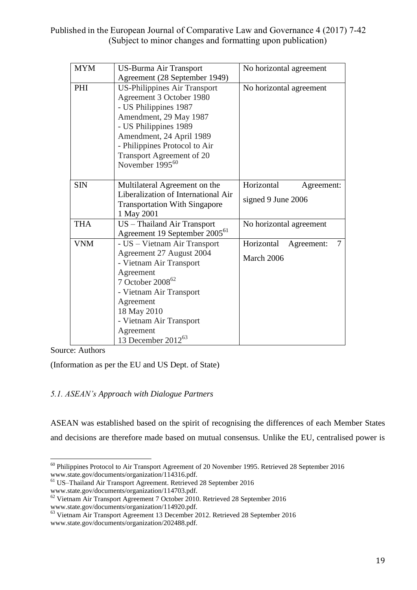| <b>MYM</b> | <b>US-Burma Air Transport</b>                                                                                                                                                                                                                                        | No horizontal agreement                        |
|------------|----------------------------------------------------------------------------------------------------------------------------------------------------------------------------------------------------------------------------------------------------------------------|------------------------------------------------|
|            | Agreement (28 September 1949)                                                                                                                                                                                                                                        |                                                |
| PHI        | <b>US-Philippines Air Transport</b><br>Agreement 3 October 1980<br>- US Philippines 1987<br>Amendment, 29 May 1987<br>- US Philippines 1989<br>Amendment, 24 April 1989<br>- Philippines Protocol to Air<br>Transport Agreement of 20<br>November 1995 <sup>60</sup> | No horizontal agreement                        |
| <b>SIN</b> | Multilateral Agreement on the<br>Liberalization of International Air<br><b>Transportation With Singapore</b><br>1 May 2001                                                                                                                                           | Horizontal<br>Agreement:<br>signed 9 June 2006 |
| <b>THA</b> | US - Thailand Air Transport<br>Agreement 19 September 2005 <sup>61</sup>                                                                                                                                                                                             | No horizontal agreement                        |
| <b>VNM</b> | - US - Vietnam Air Transport                                                                                                                                                                                                                                         | Horizontal<br>Agreement:<br>7                  |
|            | Agreement 27 August 2004<br>- Vietnam Air Transport<br>Agreement                                                                                                                                                                                                     | March 2006                                     |
|            | 7 October $2008^{62}$                                                                                                                                                                                                                                                |                                                |
|            | - Vietnam Air Transport                                                                                                                                                                                                                                              |                                                |
|            | Agreement                                                                                                                                                                                                                                                            |                                                |
|            | 18 May 2010                                                                                                                                                                                                                                                          |                                                |
|            | - Vietnam Air Transport                                                                                                                                                                                                                                              |                                                |
|            | Agreement                                                                                                                                                                                                                                                            |                                                |
|            | 13 December $2012^{63}$                                                                                                                                                                                                                                              |                                                |

Source: Authors

 $\overline{\phantom{a}}$ 

(Information as per the EU and US Dept. of State)

#### *5.1. ASEAN's Approach with Dialogue Partners*

ASEAN was established based on the spirit of recognising the differences of each Member States and decisions are therefore made based on mutual consensus. Unlike the EU, centralised power is

 $60$  Philippines Protocol to Air Transport Agreement of 20 November 1995. Retrieved 28 September 2016 www.state.gov/documents/organization/114316.pdf.

<sup>61</sup> US–Thailand Air Transport Agreement. Retrieved 28 September 2016

www.state.gov/documents/organization/114703.pdf.

 $62$  Vietnam Air Transport Agreement 7 October 2010. Retrieved 28 September 2016 www.state.gov/documents/organization/114920.pdf.

<sup>&</sup>lt;sup>63</sup> Vietnam Air Transport Agreement 13 December 2012. Retrieved 28 September 2016 www.state.gov/documents/organization/202488.pdf.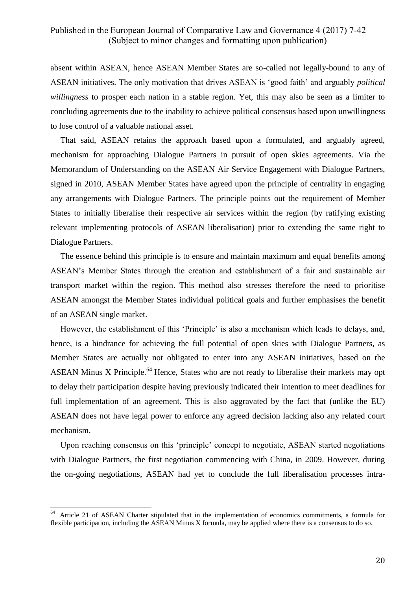absent within ASEAN, hence ASEAN Member States are so-called not legally-bound to any of ASEAN initiatives. The only motivation that drives ASEAN is 'good faith' and arguably *political willingness* to prosper each nation in a stable region. Yet, this may also be seen as a limiter to concluding agreements due to the inability to achieve political consensus based upon unwillingness to lose control of a valuable national asset.

That said, ASEAN retains the approach based upon a formulated, and arguably agreed, mechanism for approaching Dialogue Partners in pursuit of open skies agreements. Via the Memorandum of Understanding on the ASEAN Air Service Engagement with Dialogue Partners, signed in 2010, ASEAN Member States have agreed upon the principle of centrality in engaging any arrangements with Dialogue Partners. The principle points out the requirement of Member States to initially liberalise their respective air services within the region (by ratifying existing relevant implementing protocols of ASEAN liberalisation) prior to extending the same right to Dialogue Partners.

The essence behind this principle is to ensure and maintain maximum and equal benefits among ASEAN's Member States through the creation and establishment of a fair and sustainable air transport market within the region. This method also stresses therefore the need to prioritise ASEAN amongst the Member States individual political goals and further emphasises the benefit of an ASEAN single market.

However, the establishment of this 'Principle' is also a mechanism which leads to delays, and, hence, is a hindrance for achieving the full potential of open skies with Dialogue Partners, as Member States are actually not obligated to enter into any ASEAN initiatives, based on the ASEAN Minus X Principle.<sup>64</sup> Hence, States who are not ready to liberalise their markets may opt to delay their participation despite having previously indicated their intention to meet deadlines for full implementation of an agreement. This is also aggravated by the fact that (unlike the EU) ASEAN does not have legal power to enforce any agreed decision lacking also any related court mechanism.

Upon reaching consensus on this 'principle' concept to negotiate, ASEAN started negotiations with Dialogue Partners, the first negotiation commencing with China, in 2009. However, during the on-going negotiations, ASEAN had yet to conclude the full liberalisation processes intra-

<sup>64</sup> <sup>64</sup> Article 21 of ASEAN Charter stipulated that in the implementation of economics commitments, a formula for flexible participation, including the ASEAN Minus X formula, may be applied where there is a consensus to do so.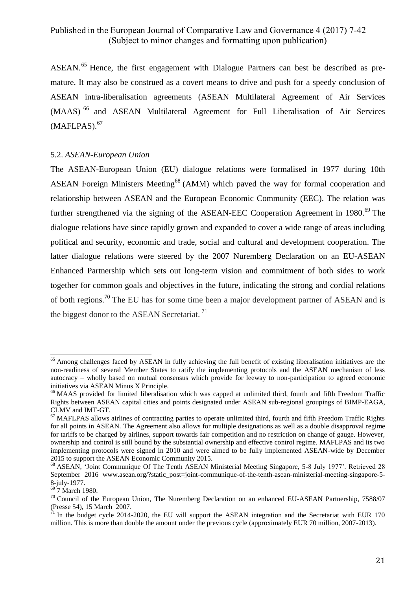ASEAN.<sup>65</sup> Hence, the first engagement with Dialogue Partners can best be described as premature. It may also be construed as a covert means to drive and push for a speedy conclusion of ASEAN intra-liberalisation agreements (ASEAN Multilateral Agreement of Air Services (MAAS)<sup>66</sup> and ASEAN Multilateral Agreement for Full Liberalisation of Air Services  $(MAFLPAS).<sup>67</sup>$ 

#### 5.2. *ASEAN-European Union*

The ASEAN-European Union (EU) dialogue relations were formalised in 1977 during 10th ASEAN Foreign Ministers Meeting<sup>68</sup> (AMM) which paved the way for formal cooperation and relationship between ASEAN and the European Economic Community (EEC). The relation was further strengthened via the signing of the ASEAN-EEC Cooperation Agreement in 1980.<sup>69</sup> The dialogue relations have since rapidly grown and expanded to cover a wide range of areas including political and security, economic and trade, social and cultural and development cooperation. The latter dialogue relations were steered by the 2007 Nuremberg Declaration on an EU-ASEAN Enhanced Partnership which sets out long-term vision and commitment of both sides to work together for common goals and objectives in the future, indicating the strong and cordial relations of both regions.<sup>70</sup> The EU has for some time been a major development partner of ASEAN and is the biggest donor to the ASEAN Secretariat.<sup>71</sup>

<sup>&</sup>lt;sup>65</sup> Among challenges faced by ASEAN in fully achieving the full benefit of existing liberalisation initiatives are the non-readiness of several Member States to ratify the implementing protocols and the ASEAN mechanism of less autocracy – wholly based on mutual consensus which provide for leeway to non-participation to agreed economic initiatives via ASEAN Minus X Principle.

<sup>&</sup>lt;sup>66</sup> MAAS provided for limited liberalisation which was capped at unlimited third, fourth and fifth Freedom Traffic Rights between ASEAN capital cities and points designated under ASEAN sub-regional groupings of BIMP-EAGA, CLMV and IMT-GT.

 $67$  MAFLPAS allows airlines of contracting parties to operate unlimited third, fourth and fifth Freedom Traffic Rights for all points in ASEAN. The Agreement also allows for multiple designations as well as a double disapproval regime for tariffs to be charged by airlines, support towards fair competition and no restriction on change of gauge. However, ownership and control is still bound by the substantial ownership and effective control regime. MAFLPAS and its two implementing protocols were signed in 2010 and were aimed to be fully implemented ASEAN-wide by December 2015 to support the ASEAN Economic Community 2015.

<sup>&</sup>lt;sup>68</sup> ASEAN, 'Joint Communique Of The Tenth ASEAN Ministerial Meeting Singapore, 5-8 July 1977'. Retrieved 28 September 2016 www.asean.org/?static\_post=joint-communique-of-the-tenth-asean-ministerial-meeting-singapore-5- 8-july-1977.

<sup>&</sup>lt;sup>69</sup> 7 March 1980.

<sup>&</sup>lt;sup>70</sup> Council of the European Union, The Nuremberg Declaration on an enhanced EU-ASEAN Partnership, 7588/07 (Presse 54), 15 March 2007.

 $71$  In the budget cycle 2014-2020, the EU will support the ASEAN integration and the Secretariat with EUR 170 million. This is more than double the amount under the previous cycle (approximately EUR 70 million, 2007-2013).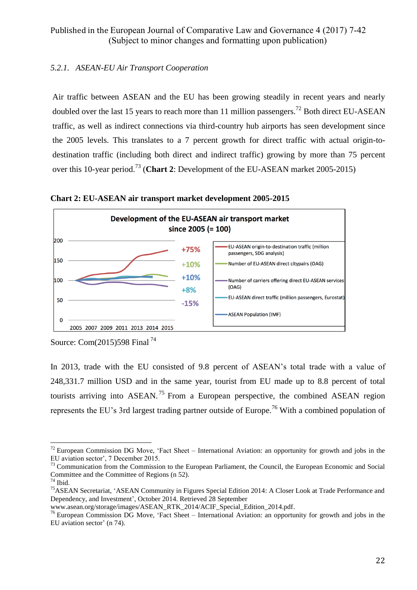#### *5.2.1. ASEAN-EU Air Transport Cooperation*

Air traffic between ASEAN and the EU has been growing steadily in recent years and nearly doubled over the last 15 years to reach more than 11 million passengers.<sup>72</sup> Both direct EU-ASEAN traffic, as well as indirect connections via third-country hub airports has seen development since the 2005 levels. This translates to a 7 percent growth for direct traffic with actual origin-todestination traffic (including both direct and indirect traffic) growing by more than 75 percent over this 10-year period.<sup>73</sup> (**Chart 2**: Development of the EU-ASEAN market 2005-2015)



**Chart 2: EU-ASEAN air transport market development 2005-2015**

In 2013, trade with the EU consisted of 9.8 percent of ASEAN's total trade with a value of 248,331.7 million USD and in the same year, tourist from EU made up to 8.8 percent of total tourists arriving into ASEAN. <sup>75</sup> From a European perspective, the combined ASEAN region represents the EU's 3rd largest trading partner outside of Europe.<sup>76</sup> With a combined population of

Source: Com(2015)598 Final <sup>74</sup>

 $\overline{a}$  $72$  European Commission DG Move, 'Fact Sheet – International Aviation: an opportunity for growth and jobs in the EU aviation sector', 7 December 2015.

<sup>&</sup>lt;sup>73</sup> Communication from the Commission to the European Parliament, the Council, the European Economic and Social Committee and the Committee of Regions (n 52).

 $74$  Ibid.

<sup>75</sup>ASEAN Secretariat, 'ASEAN Community in Figures Special Edition 2014: A Closer Look at Trade Performance and Dependency, and Investment', October 2014. Retrieved 28 September

www.asean.org/storage/images/ASEAN\_RTK\_2014/ACIF\_Special\_Edition\_2014.pdf.

<sup>76</sup> European Commission DG Move, 'Fact Sheet – International Aviation: an opportunity for growth and jobs in the EU aviation sector' (n 74).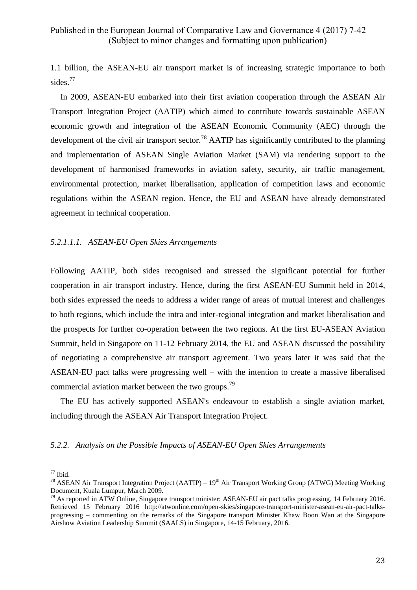1.1 billion, the ASEAN-EU air transport market is of increasing strategic importance to both sides.<sup>77</sup>

In 2009, ASEAN-EU embarked into their first aviation cooperation through the ASEAN Air Transport Integration Project (AATIP) which aimed to contribute towards sustainable ASEAN economic growth and integration of the ASEAN Economic Community (AEC) through the development of the civil air transport sector.<sup>78</sup> AATIP has significantly contributed to the planning and implementation of ASEAN Single Aviation Market (SAM) via rendering support to the development of harmonised frameworks in aviation safety, security, air traffic management, environmental protection, market liberalisation, application of competition laws and economic regulations within the ASEAN region. Hence, the EU and ASEAN have already demonstrated agreement in technical cooperation.

#### *5.2.1.1.1. ASEAN-EU Open Skies Arrangements*

Following AATIP, both sides recognised and stressed the significant potential for further cooperation in air transport industry. Hence, during the first ASEAN-EU Summit held in 2014, both sides expressed the needs to address a wider range of areas of mutual interest and challenges to both regions, which include the intra and inter-regional integration and market liberalisation and the prospects for further co-operation between the two regions. At the first EU-ASEAN Aviation Summit, held in Singapore on 11-12 February 2014, the EU and ASEAN discussed the possibility of negotiating a comprehensive air transport agreement. Two years later it was said that the ASEAN-EU pact talks were progressing well – with the intention to create a massive liberalised commercial aviation market between the two groups.<sup>79</sup>

The EU has actively supported ASEAN's endeavour to establish a single aviation market, including through the ASEAN Air Transport Integration Project.

#### *5.2.2. Analysis on the Possible Impacts of ASEAN-EU Open Skies Arrangements*

 $\overline{\phantom{a}}$  $77$  Ibid.

<sup>&</sup>lt;sup>78</sup> ASEAN Air Transport Integration Project (AATIP) –  $19<sup>th</sup>$  Air Transport Working Group (ATWG) Meeting Working Document, Kuala Lumpur, March 2009.

 $^{79}$  As reported in ATW Online, Singapore transport minister: ASEAN-EU air pact talks progressing, 14 February 2016. Retrieved 15 February 2016 http://atwonline.com/open-skies/singapore-transport-minister-asean-eu-air-pact-talksprogressing – commenting on the remarks of the Singapore transport Minister Khaw Boon Wan at the Singapore Airshow Aviation Leadership Summit (SAALS) in Singapore, 14-15 February, 2016.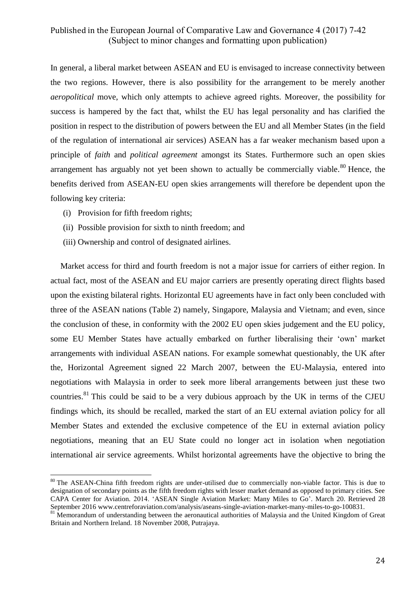In general, a liberal market between ASEAN and EU is envisaged to increase connectivity between the two regions. However, there is also possibility for the arrangement to be merely another *aeropolitical* move, which only attempts to achieve agreed rights. Moreover, the possibility for success is hampered by the fact that, whilst the EU has legal personality and has clarified the position in respect to the distribution of powers between the EU and all Member States (in the field of the regulation of international air services) ASEAN has a far weaker mechanism based upon a principle of *faith* and *political agreement* amongst its States. Furthermore such an open skies arrangement has arguably not yet been shown to actually be commercially viable. $80$  Hence, the benefits derived from ASEAN-EU open skies arrangements will therefore be dependent upon the following key criteria:

(i) Provision for fifth freedom rights;

- (ii) Possible provision for sixth to ninth freedom; and
- (iii) Ownership and control of designated airlines.

Market access for third and fourth freedom is not a major issue for carriers of either region. In actual fact, most of the ASEAN and EU major carriers are presently operating direct flights based upon the existing bilateral rights. Horizontal EU agreements have in fact only been concluded with three of the ASEAN nations (Table 2) namely, Singapore, Malaysia and Vietnam; and even, since the conclusion of these, in conformity with the 2002 EU open skies judgement and the EU policy, some EU Member States have actually embarked on further liberalising their 'own' market arrangements with individual ASEAN nations. For example somewhat questionably, the UK after the, Horizontal Agreement signed 22 March 2007, between the EU-Malaysia, entered into negotiations with Malaysia in order to seek more liberal arrangements between just these two countries.<sup>81</sup> This could be said to be a very dubious approach by the UK in terms of the CJEU findings which, its should be recalled, marked the start of an EU external aviation policy for all Member States and extended the exclusive competence of the EU in external aviation policy negotiations, meaning that an EU State could no longer act in isolation when negotiation international air service agreements. Whilst horizontal agreements have the objective to bring the

<sup>&</sup>lt;sup>80</sup> The ASEAN-China fifth freedom rights are under-utilised due to commercially non-viable factor. This is due to designation of secondary points as the fifth freedom rights with lesser market demand as opposed to primary cities. See CAPA Center for Aviation. 2014. 'ASEAN Single Aviation Market: Many Miles to Go'. March 20. Retrieved 28 September 2016 www.centreforaviation.com/analysis/aseans-single-aviation-market-many-miles-to-go-100831.

<sup>&</sup>lt;sup>81</sup> Memorandum of understanding between the aeronautical authorities of Malaysia and the United Kingdom of Great Britain and Northern Ireland. 18 November 2008, Putrajaya.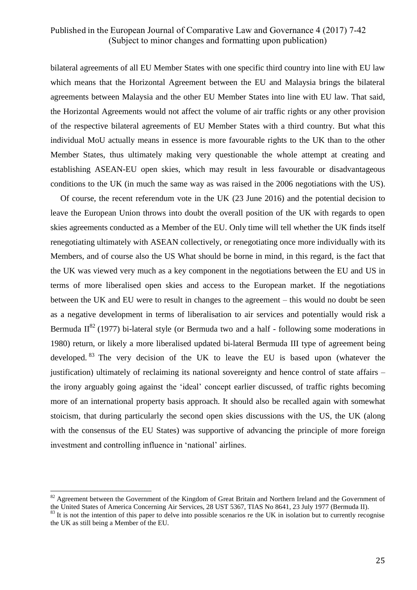bilateral agreements of all EU Member States with one specific third country into line with EU law which means that the Horizontal Agreement between the EU and Malaysia brings the bilateral agreements between Malaysia and the other EU Member States into line with EU law. That said, the Horizontal Agreements would not affect the volume of air traffic rights or any other provision of the respective bilateral agreements of EU Member States with a third country. But what this individual MoU actually means in essence is more favourable rights to the UK than to the other Member States, thus ultimately making very questionable the whole attempt at creating and establishing ASEAN-EU open skies, which may result in less favourable or disadvantageous conditions to the UK (in much the same way as was raised in the 2006 negotiations with the US).

Of course, the recent referendum vote in the UK (23 June 2016) and the potential decision to leave the European Union throws into doubt the overall position of the UK with regards to open skies agreements conducted as a Member of the EU. Only time will tell whether the UK finds itself renegotiating ultimately with ASEAN collectively, or renegotiating once more individually with its Members, and of course also the US What should be borne in mind, in this regard, is the fact that the UK was viewed very much as a key component in the negotiations between the EU and US in terms of more liberalised open skies and access to the European market. If the negotiations between the UK and EU were to result in changes to the agreement – this would no doubt be seen as a negative development in terms of liberalisation to air services and potentially would risk a Bermuda  $II^{82}$  (1977) bi-lateral style (or Bermuda two and a half - following some moderations in 1980) return, or likely a more liberalised updated bi-lateral Bermuda III type of agreement being developed. <sup>83</sup> The very decision of the UK to leave the EU is based upon (whatever the justification) ultimately of reclaiming its national sovereignty and hence control of state affairs – the irony arguably going against the 'ideal' concept earlier discussed, of traffic rights becoming more of an international property basis approach. It should also be recalled again with somewhat stoicism, that during particularly the second open skies discussions with the US, the UK (along with the consensus of the EU States) was supportive of advancing the principle of more foreign investment and controlling influence in 'national' airlines.

<sup>&</sup>lt;sup>82</sup> Agreement between the Government of the Kingdom of Great Britain and Northern Ireland and the Government of the United States of America Concerning Air Services, 28 UST 5367, TIAS No 8641, 23 July 1977 (Bermuda II).

 $83$  It is not the intention of this paper to delve into possible scenarios re the UK in isolation but to currently recognise the UK as still being a Member of the EU.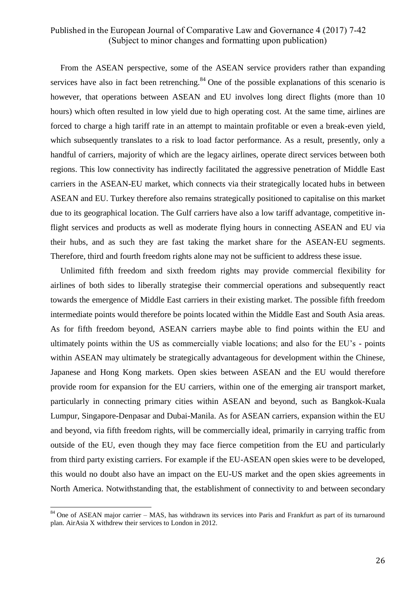From the ASEAN perspective, some of the ASEAN service providers rather than expanding services have also in fact been retrenching.<sup>84</sup> One of the possible explanations of this scenario is however, that operations between ASEAN and EU involves long direct flights (more than 10 hours) which often resulted in low yield due to high operating cost. At the same time, airlines are forced to charge a high tariff rate in an attempt to maintain profitable or even a break-even yield, which subsequently translates to a risk to load factor performance. As a result, presently, only a handful of carriers, majority of which are the legacy airlines, operate direct services between both regions. This low connectivity has indirectly facilitated the aggressive penetration of Middle East carriers in the ASEAN-EU market, which connects via their strategically located hubs in between ASEAN and EU. Turkey therefore also remains strategically positioned to capitalise on this market due to its geographical location. The Gulf carriers have also a low tariff advantage, competitive inflight services and products as well as moderate flying hours in connecting ASEAN and EU via their hubs, and as such they are fast taking the market share for the ASEAN-EU segments. Therefore, third and fourth freedom rights alone may not be sufficient to address these issue.

Unlimited fifth freedom and sixth freedom rights may provide commercial flexibility for airlines of both sides to liberally strategise their commercial operations and subsequently react towards the emergence of Middle East carriers in their existing market. The possible fifth freedom intermediate points would therefore be points located within the Middle East and South Asia areas. As for fifth freedom beyond, ASEAN carriers maybe able to find points within the EU and ultimately points within the US as commercially viable locations; and also for the EU's - points within ASEAN may ultimately be strategically advantageous for development within the Chinese, Japanese and Hong Kong markets. Open skies between ASEAN and the EU would therefore provide room for expansion for the EU carriers, within one of the emerging air transport market, particularly in connecting primary cities within ASEAN and beyond, such as Bangkok-Kuala Lumpur, Singapore-Denpasar and Dubai-Manila. As for ASEAN carriers, expansion within the EU and beyond, via fifth freedom rights, will be commercially ideal, primarily in carrying traffic from outside of the EU, even though they may face fierce competition from the EU and particularly from third party existing carriers. For example if the EU-ASEAN open skies were to be developed, this would no doubt also have an impact on the EU-US market and the open skies agreements in North America. Notwithstanding that, the establishment of connectivity to and between secondary

 $\overline{\phantom{a}}$ 

 $84$  One of ASEAN major carrier – MAS, has withdrawn its services into Paris and Frankfurt as part of its turnaround plan. AirAsia X withdrew their services to London in 2012.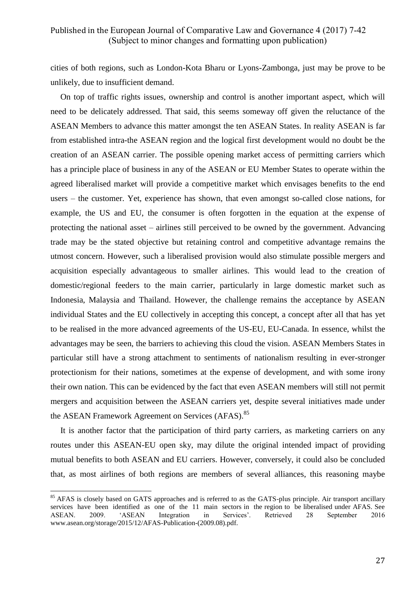cities of both regions, such as London-Kota Bharu or Lyons-Zambonga, just may be prove to be unlikely, due to insufficient demand.

On top of traffic rights issues, ownership and control is another important aspect, which will need to be delicately addressed. That said, this seems someway off given the reluctance of the ASEAN Members to advance this matter amongst the ten ASEAN States. In reality ASEAN is far from established intra-the ASEAN region and the logical first development would no doubt be the creation of an ASEAN carrier. The possible opening market access of permitting carriers which has a principle place of business in any of the ASEAN or EU Member States to operate within the agreed liberalised market will provide a competitive market which envisages benefits to the end users – the customer. Yet, experience has shown, that even amongst so-called close nations, for example, the US and EU, the consumer is often forgotten in the equation at the expense of protecting the national asset – airlines still perceived to be owned by the government. Advancing trade may be the stated objective but retaining control and competitive advantage remains the utmost concern. However, such a liberalised provision would also stimulate possible mergers and acquisition especially advantageous to smaller airlines. This would lead to the creation of domestic/regional feeders to the main carrier, particularly in large domestic market such as Indonesia, Malaysia and Thailand. However, the challenge remains the acceptance by ASEAN individual States and the EU collectively in accepting this concept, a concept after all that has yet to be realised in the more advanced agreements of the US-EU, EU-Canada. In essence, whilst the advantages may be seen, the barriers to achieving this cloud the vision. ASEAN Members States in particular still have a strong attachment to sentiments of nationalism resulting in ever-stronger protectionism for their nations, sometimes at the expense of development, and with some irony their own nation. This can be evidenced by the fact that even ASEAN members will still not permit mergers and acquisition between the ASEAN carriers yet, despite several initiatives made under the ASEAN Framework Agreement on Services (AFAS).<sup>85</sup>

It is another factor that the participation of third party carriers, as marketing carriers on any routes under this ASEAN-EU open sky, may dilute the original intended impact of providing mutual benefits to both ASEAN and EU carriers. However, conversely, it could also be concluded that, as most airlines of both regions are members of several alliances, this reasoning maybe

<sup>&</sup>lt;sup>85</sup> AFAS is closely based on GATS approaches and is referred to as the GATS-plus principle. Air transport ancillary services have been identified as one of the 11 main sectors in the region to be liberalised under AFAS. See ASEAN. 2009. 'ASEAN Integration in Services'. Retrieved 28 September 2016 www.asean.org/storage/2015/12/AFAS-Publication-(2009.08).pdf.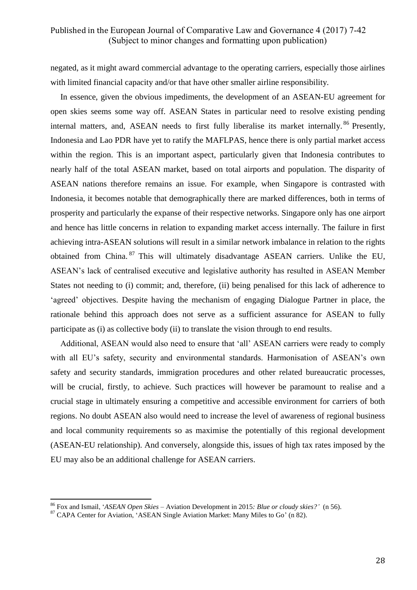negated, as it might award commercial advantage to the operating carriers, especially those airlines with limited financial capacity and/or that have other smaller airline responsibility.

In essence, given the obvious impediments, the development of an ASEAN-EU agreement for open skies seems some way off. ASEAN States in particular need to resolve existing pending internal matters, and, ASEAN needs to first fully liberalise its market internally. <sup>86</sup> Presently, Indonesia and Lao PDR have yet to ratify the MAFLPAS, hence there is only partial market access within the region. This is an important aspect, particularly given that Indonesia contributes to nearly half of the total ASEAN market, based on total airports and population. The disparity of ASEAN nations therefore remains an issue. For example, when Singapore is contrasted with Indonesia, it becomes notable that demographically there are marked differences, both in terms of prosperity and particularly the expanse of their respective networks. Singapore only has one airport and hence has little concerns in relation to expanding market access internally. The failure in first achieving intra-ASEAN solutions will result in a similar network imbalance in relation to the rights obtained from China. <sup>87</sup> This will ultimately disadvantage ASEAN carriers. Unlike the EU, ASEAN's lack of centralised executive and legislative authority has resulted in ASEAN Member States not needing to (i) commit; and, therefore, (ii) being penalised for this lack of adherence to 'agreed' objectives. Despite having the mechanism of engaging Dialogue Partner in place, the rationale behind this approach does not serve as a sufficient assurance for ASEAN to fully participate as (i) as collective body (ii) to translate the vision through to end results.

Additional, ASEAN would also need to ensure that 'all' ASEAN carriers were ready to comply with all EU's safety, security and environmental standards. Harmonisation of ASEAN's own safety and security standards, immigration procedures and other related bureaucratic processes, will be crucial, firstly, to achieve. Such practices will however be paramount to realise and a crucial stage in ultimately ensuring a competitive and accessible environment for carriers of both regions. No doubt ASEAN also would need to increase the level of awareness of regional business and local community requirements so as maximise the potentially of this regional development (ASEAN-EU relationship). And conversely, alongside this, issues of high tax rates imposed by the EU may also be an additional challenge for ASEAN carriers.

 $\overline{\phantom{a}}$ 

<sup>86</sup> Fox and Ismail, '*ASEAN Open Skies* – Aviation Development in 2015*: Blue or cloudy skies?'* (n 56).

<sup>87</sup> CAPA Center for Aviation, 'ASEAN Single Aviation Market: Many Miles to Go' (n 82).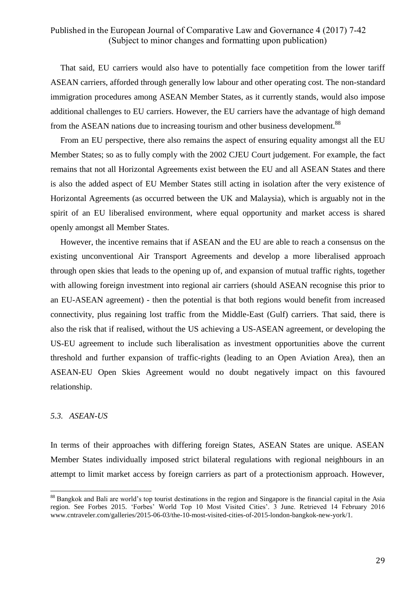That said, EU carriers would also have to potentially face competition from the lower tariff ASEAN carriers, afforded through generally low labour and other operating cost. The non-standard immigration procedures among ASEAN Member States, as it currently stands, would also impose additional challenges to EU carriers. However, the EU carriers have the advantage of high demand from the ASEAN nations due to increasing tourism and other business development.<sup>88</sup>

From an EU perspective, there also remains the aspect of ensuring equality amongst all the EU Member States; so as to fully comply with the 2002 CJEU Court judgement. For example, the fact remains that not all Horizontal Agreements exist between the EU and all ASEAN States and there is also the added aspect of EU Member States still acting in isolation after the very existence of Horizontal Agreements (as occurred between the UK and Malaysia), which is arguably not in the spirit of an EU liberalised environment, where equal opportunity and market access is shared openly amongst all Member States.

However, the incentive remains that if ASEAN and the EU are able to reach a consensus on the existing unconventional Air Transport Agreements and develop a more liberalised approach through open skies that leads to the opening up of, and expansion of mutual traffic rights, together with allowing foreign investment into regional air carriers (should ASEAN recognise this prior to an EU-ASEAN agreement) - then the potential is that both regions would benefit from increased connectivity, plus regaining lost traffic from the Middle-East (Gulf) carriers. That said, there is also the risk that if realised, without the US achieving a US-ASEAN agreement, or developing the US-EU agreement to include such liberalisation as investment opportunities above the current threshold and further expansion of traffic-rights (leading to an Open Aviation Area), then an ASEAN-EU Open Skies Agreement would no doubt negatively impact on this favoured relationship.

#### *5.3. ASEAN-US*

 $\overline{a}$ 

In terms of their approaches with differing foreign States, ASEAN States are unique. ASEAN Member States individually imposed strict bilateral regulations with regional neighbours in an attempt to limit market access by foreign carriers as part of a protectionism approach. However,

<sup>&</sup>lt;sup>88</sup> Bangkok and Bali are world's top tourist destinations in the region and Singapore is the financial capital in the Asia region. See Forbes 2015. 'Forbes' World Top 10 Most Visited Cities'. 3 June. Retrieved 14 February 2016 www.cntraveler.com/galleries/2015-06-03/the-10-most-visited-cities-of-2015-london-bangkok-new-york/1.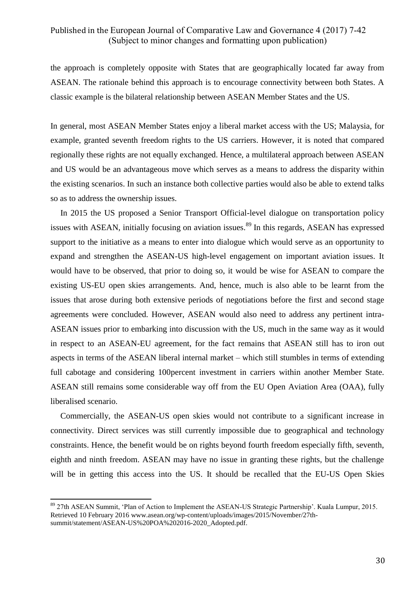the approach is completely opposite with States that are geographically located far away from ASEAN. The rationale behind this approach is to encourage connectivity between both States. A classic example is the bilateral relationship between ASEAN Member States and the US.

In general, most ASEAN Member States enjoy a liberal market access with the US; Malaysia, for example, granted seventh freedom rights to the US carriers. However, it is noted that compared regionally these rights are not equally exchanged. Hence, a multilateral approach between ASEAN and US would be an advantageous move which serves as a means to address the disparity within the existing scenarios. In such an instance both collective parties would also be able to extend talks so as to address the ownership issues.

In 2015 the US proposed a Senior Transport Official-level dialogue on transportation policy issues with ASEAN, initially focusing on aviation issues.<sup>89</sup> In this regards, ASEAN has expressed support to the initiative as a means to enter into dialogue which would serve as an opportunity to expand and strengthen the ASEAN-US high-level engagement on important aviation issues. It would have to be observed, that prior to doing so, it would be wise for ASEAN to compare the existing US-EU open skies arrangements. And, hence, much is also able to be learnt from the issues that arose during both extensive periods of negotiations before the first and second stage agreements were concluded. However, ASEAN would also need to address any pertinent intra-ASEAN issues prior to embarking into discussion with the US, much in the same way as it would in respect to an ASEAN-EU agreement, for the fact remains that ASEAN still has to iron out aspects in terms of the ASEAN liberal internal market – which still stumbles in terms of extending full cabotage and considering 100percent investment in carriers within another Member State. ASEAN still remains some considerable way off from the EU Open Aviation Area (OAA), fully liberalised scenario.

Commercially, the ASEAN-US open skies would not contribute to a significant increase in connectivity. Direct services was still currently impossible due to geographical and technology constraints. Hence, the benefit would be on rights beyond fourth freedom especially fifth, seventh, eighth and ninth freedom. ASEAN may have no issue in granting these rights, but the challenge will be in getting this access into the US. It should be recalled that the EU-US Open Skies

 $\overline{\phantom{a}}$ 

<sup>&</sup>lt;sup>89</sup> 27th ASEAN Summit, 'Plan of Action to Implement the ASEAN-US Strategic Partnership'. Kuala Lumpur, 2015. Retrieved 10 February 2016 www.asean.org/wp-content/uploads/images/2015/November/27thsummit/statement/ASEAN-US%20POA%202016-2020\_Adopted.pdf.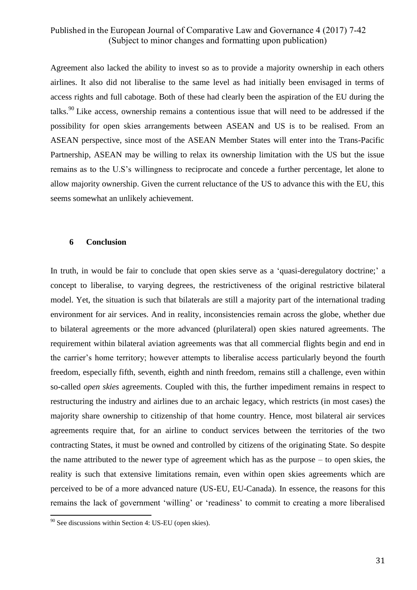Agreement also lacked the ability to invest so as to provide a majority ownership in each others airlines. It also did not liberalise to the same level as had initially been envisaged in terms of access rights and full cabotage. Both of these had clearly been the aspiration of the EU during the talks.<sup>90</sup> Like access, ownership remains a contentious issue that will need to be addressed if the possibility for open skies arrangements between ASEAN and US is to be realised. From an ASEAN perspective, since most of the ASEAN Member States will enter into the Trans-Pacific Partnership, ASEAN may be willing to relax its ownership limitation with the US but the issue remains as to the U.S's willingness to reciprocate and concede a further percentage, let alone to allow majority ownership. Given the current reluctance of the US to advance this with the EU, this seems somewhat an unlikely achievement.

#### **6 Conclusion**

In truth, in would be fair to conclude that open skies serve as a 'quasi-deregulatory doctrine;' a concept to liberalise, to varying degrees, the restrictiveness of the original restrictive bilateral model. Yet, the situation is such that bilaterals are still a majority part of the international trading environment for air services. And in reality, inconsistencies remain across the globe, whether due to bilateral agreements or the more advanced (plurilateral) open skies natured agreements. The requirement within bilateral aviation agreements was that all commercial flights begin and end in the carrier's home territory; however attempts to liberalise access particularly beyond the fourth freedom, especially fifth, seventh, eighth and ninth freedom, remains still a challenge, even within so-called *open skies* agreements. Coupled with this, the further impediment remains in respect to restructuring the industry and airlines due to an archaic legacy, which restricts (in most cases) the majority share ownership to citizenship of that home country. Hence, most bilateral air services agreements require that, for an airline to conduct services between the territories of the two contracting States, it must be owned and controlled by citizens of the originating State. So despite the name attributed to the newer type of agreement which has as the purpose – to open skies, the reality is such that extensive limitations remain, even within open skies agreements which are perceived to be of a more advanced nature (US-EU, EU-Canada). In essence, the reasons for this remains the lack of government 'willing' or 'readiness' to commit to creating a more liberalised

 $90$  See discussions within Section 4: US-EU (open skies).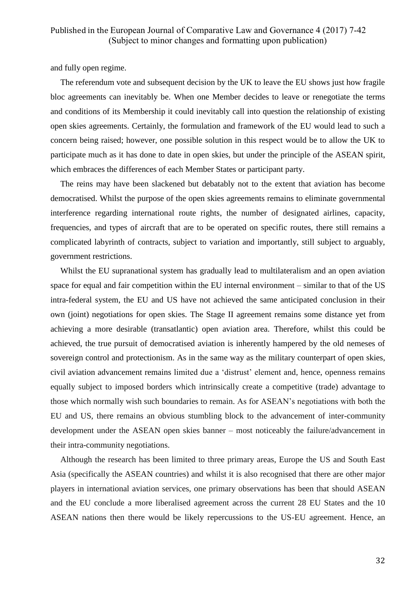and fully open regime.

The referendum vote and subsequent decision by the UK to leave the EU shows just how fragile bloc agreements can inevitably be. When one Member decides to leave or renegotiate the terms and conditions of its Membership it could inevitably call into question the relationship of existing open skies agreements. Certainly, the formulation and framework of the EU would lead to such a concern being raised; however, one possible solution in this respect would be to allow the UK to participate much as it has done to date in open skies, but under the principle of the ASEAN spirit, which embraces the differences of each Member States or participant party.

The reins may have been slackened but debatably not to the extent that aviation has become democratised. Whilst the purpose of the open skies agreements remains to eliminate governmental interference regarding international route rights, the number of designated airlines, capacity, frequencies, and types of aircraft that are to be operated on specific routes, there still remains a complicated labyrinth of contracts, subject to variation and importantly, still subject to arguably, government restrictions.

Whilst the EU supranational system has gradually lead to multilateralism and an open aviation space for equal and fair competition within the EU internal environment – similar to that of the US intra-federal system, the EU and US have not achieved the same anticipated conclusion in their own (joint) negotiations for open skies. The Stage II agreement remains some distance yet from achieving a more desirable (transatlantic) open aviation area. Therefore, whilst this could be achieved, the true pursuit of democratised aviation is inherently hampered by the old nemeses of sovereign control and protectionism. As in the same way as the military counterpart of open skies, civil aviation advancement remains limited due a 'distrust' element and, hence, openness remains equally subject to imposed borders which intrinsically create a competitive (trade) advantage to those which normally wish such boundaries to remain. As for ASEAN's negotiations with both the EU and US, there remains an obvious stumbling block to the advancement of inter-community development under the ASEAN open skies banner – most noticeably the failure/advancement in their intra-community negotiations.

Although the research has been limited to three primary areas, Europe the US and South East Asia (specifically the ASEAN countries) and whilst it is also recognised that there are other major players in international aviation services, one primary observations has been that should ASEAN and the EU conclude a more liberalised agreement across the current 28 EU States and the 10 ASEAN nations then there would be likely repercussions to the US-EU agreement. Hence, an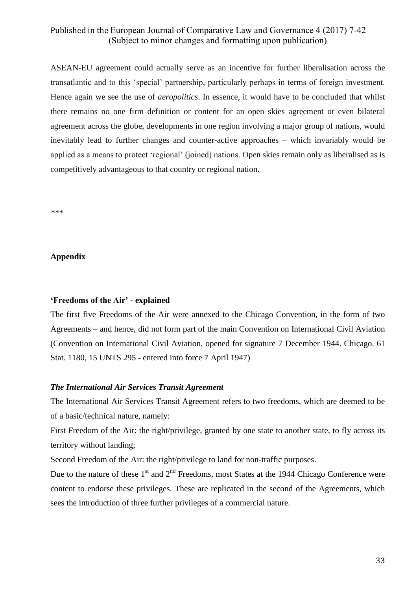ASEAN-EU agreement could actually serve as an incentive for further liberalisation across the transatlantic and to this 'special' partnership, particularly perhaps in terms of foreign investment. Hence again we see the use of *aeropolitics*. In essence, it would have to be concluded that whilst there remains no one firm definition or content for an open skies agreement or even bilateral agreement across the globe, developments in one region involving a major group of nations, would inevitably lead to further changes and counter-active approaches – which invariably would be applied as a means to protect 'regional' (joined) nations. Open skies remain only as liberalised as is competitively advantageous to that country or regional nation.

*\*\*\**

**Appendix**

#### **'Freedoms of the Air' - explained**

The first five Freedoms of the Air were annexed to the Chicago Convention, in the form of two Agreements – and hence, did not form part of the main Convention on International Civil Aviation (Convention on International Civil Aviation, opened for signature 7 December 1944. Chicago. 61 Stat. 1180, 15 UNTS 295 - entered into force 7 April 1947)

#### *The International Air Services Transit Agreement*

The International Air Services Transit Agreement refers to two freedoms, which are deemed to be of a basic/technical nature, namely:

First Freedom of the Air: the right/privilege, granted by one state to another state, to fly across its territory without landing;

Second Freedom of the Air: the right/privilege to land for non-traffic purposes.

Due to the nature of these  $1<sup>st</sup>$  and  $2<sup>nd</sup>$  Freedoms, most States at the 1944 Chicago Conference were content to endorse these privileges. These are replicated in the second of the Agreements, which sees the introduction of three further privileges of a commercial nature.